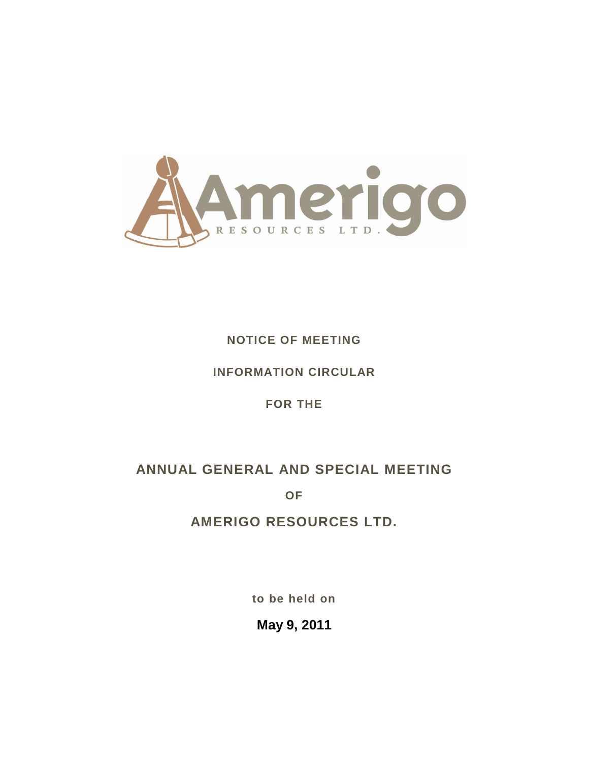

## **NOTICE OF MEETING**

## **INFORMATION CIRCULAR**

## **FOR THE**

# **ANNUAL GENERAL AND SPECIAL MEETING**

**OF**

# **AMERIGO RESOURCES LTD.**

**to be held on**

**May 9, 2011**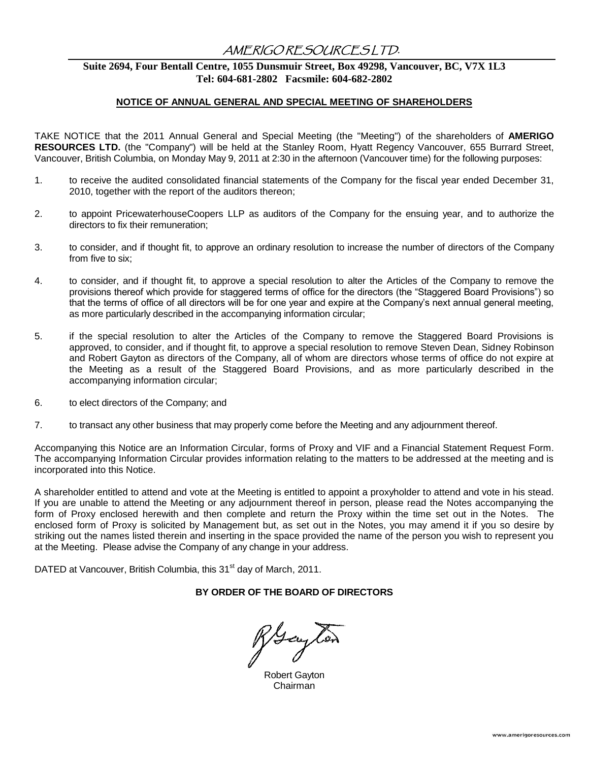## AMERIGO RESOURCES LTD.

## **Suite 2694, Four Bentall Centre, 1055 Dunsmuir Street, Box 49298, Vancouver, BC, V7X 1L3 Tel: 604-681-2802 Facsmile: 604-682-2802**

#### **NOTICE OF ANNUAL GENERAL AND SPECIAL MEETING OF SHAREHOLDERS**

TAKE NOTICE that the 2011 Annual General and Special Meeting (the "Meeting") of the shareholders of **AMERIGO RESOURCES LTD.** (the "Company") will be held at the Stanley Room, Hyatt Regency Vancouver, 655 Burrard Street, Vancouver, British Columbia, on Monday May 9, 2011 at 2:30 in the afternoon (Vancouver time) for the following purposes:

- 1. to receive the audited consolidated financial statements of the Company for the fiscal year ended December 31, 2010, together with the report of the auditors thereon;
- 2. to appoint PricewaterhouseCoopers LLP as auditors of the Company for the ensuing year, and to authorize the directors to fix their remuneration;
- 3. to consider, and if thought fit, to approve an ordinary resolution to increase the number of directors of the Company from five to six;
- 4. to consider, and if thought fit, to approve a special resolution to alter the Articles of the Company to remove the provisions thereof which provide for staggered terms of office for the directors (the "Staggered Board Provisions") so that the terms of office of all directors will be for one year and expire at the Company's next annual general meeting, as more particularly described in the accompanying information circular;
- 5. if the special resolution to alter the Articles of the Company to remove the Staggered Board Provisions is approved, to consider, and if thought fit, to approve a special resolution to remove Steven Dean, Sidney Robinson and Robert Gayton as directors of the Company, all of whom are directors whose terms of office do not expire at the Meeting as a result of the Staggered Board Provisions, and as more particularly described in the accompanying information circular;
- 6. to elect directors of the Company; and
- 7. to transact any other business that may properly come before the Meeting and any adjournment thereof.

Accompanying this Notice are an Information Circular, forms of Proxy and VIF and a Financial Statement Request Form. The accompanying Information Circular provides information relating to the matters to be addressed at the meeting and is incorporated into this Notice.

A shareholder entitled to attend and vote at the Meeting is entitled to appoint a proxyholder to attend and vote in his stead. If you are unable to attend the Meeting or any adjournment thereof in person, please read the Notes accompanying the form of Proxy enclosed herewith and then complete and return the Proxy within the time set out in the Notes. The enclosed form of Proxy is solicited by Management but, as set out in the Notes, you may amend it if you so desire by striking out the names listed therein and inserting in the space provided the name of the person you wish to represent you at the Meeting. Please advise the Company of any change in your address.

DATED at Vancouver, British Columbia, this 31<sup>st</sup> day of March, 2011.

#### **BY ORDER OF THE BOARD OF DIRECTORS**

Houghor

Robert Gayton Chairman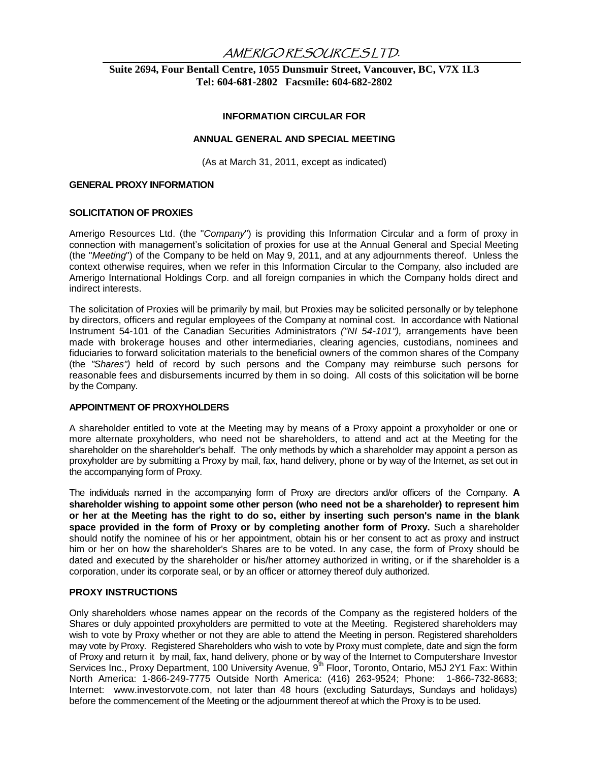## AMERIGO RESOURCES LTD.

### **Suite 2694, Four Bentall Centre, 1055 Dunsmuir Street, Vancouver, BC, V7X 1L3 Tel: 604-681-2802 Facsmile: 604-682-2802**

#### **INFORMATION CIRCULAR FOR**

#### **ANNUAL GENERAL AND SPECIAL MEETING**

(As at March 31, 2011, except as indicated)

#### **GENERAL PROXY INFORMATION**

#### **SOLICITATION OF PROXIES**

Amerigo Resources Ltd. (the "*Company*") is providing this Information Circular and a form of proxy in connection with management"s solicitation of proxies for use at the Annual General and Special Meeting (the "*Meeting*") of the Company to be held on May 9, 2011, and at any adjournments thereof. Unless the context otherwise requires, when we refer in this Information Circular to the Company, also included are Amerigo International Holdings Corp. and all foreign companies in which the Company holds direct and indirect interests.

The solicitation of Proxies will be primarily by mail, but Proxies may be solicited personally or by telephone by directors, officers and regular employees of the Company at nominal cost. In accordance with National Instrument 54-101 of the Canadian Securities Administrators *("NI 54-101"),* arrangements have been made with brokerage houses and other intermediaries, clearing agencies, custodians, nominees and fiduciaries to forward solicitation materials to the beneficial owners of the common shares of the Company (the *"Shares")* held of record by such persons and the Company may reimburse such persons for reasonable fees and disbursements incurred by them in so doing. All costs of this solicitation will be borne by the Company.

### **APPOINTMENT OF PROXYHOLDERS**

A shareholder entitled to vote at the Meeting may by means of a Proxy appoint a proxyholder or one or more alternate proxyholders, who need not be shareholders, to attend and act at the Meeting for the shareholder on the shareholder's behalf. The only methods by which a shareholder may appoint a person as proxyholder are by submitting a Proxy by mail, fax, hand delivery, phone or by way of the Internet, as set out in the accompanying form of Proxy.

The individuals named in the accompanying form of Proxy are directors and/or officers of the Company. **A shareholder wishing to appoint some other person (who need not be a shareholder) to represent him or her at the Meeting has the right to do so, either by inserting such person's name in the blank space provided in the form of Proxy or by completing another form of Proxy.** Such a shareholder should notify the nominee of his or her appointment, obtain his or her consent to act as proxy and instruct him or her on how the shareholder's Shares are to be voted. In any case, the form of Proxy should be dated and executed by the shareholder or his/her attorney authorized in writing, or if the shareholder is a corporation, under its corporate seal, or by an officer or attorney thereof duly authorized.

#### **PROXY INSTRUCTIONS**

Only shareholders whose names appear on the records of the Company as the registered holders of the Shares or duly appointed proxyholders are permitted to vote at the Meeting. Registered shareholders may wish to vote by Proxy whether or not they are able to attend the Meeting in person. Registered shareholders may vote by Proxy. Registered Shareholders who wish to vote by Proxy must complete, date and sign the form of Proxy and return it by mail, fax, hand delivery, phone or by way of the Internet to Computershare Investor Services Inc., Proxy Department, 100 University Avenue, 9<sup>th</sup> Floor, Toronto, Ontario, M5J 2Y1 Fax: Within North America: 1-866-249-7775 Outside North America: (416) 263-9524; Phone: 1-866-732-8683; Internet: www.investorvote.com, not later than 48 hours (excluding Saturdays, Sundays and holidays) before the commencement of the Meeting or the adjournment thereof at which the Proxy is to be used.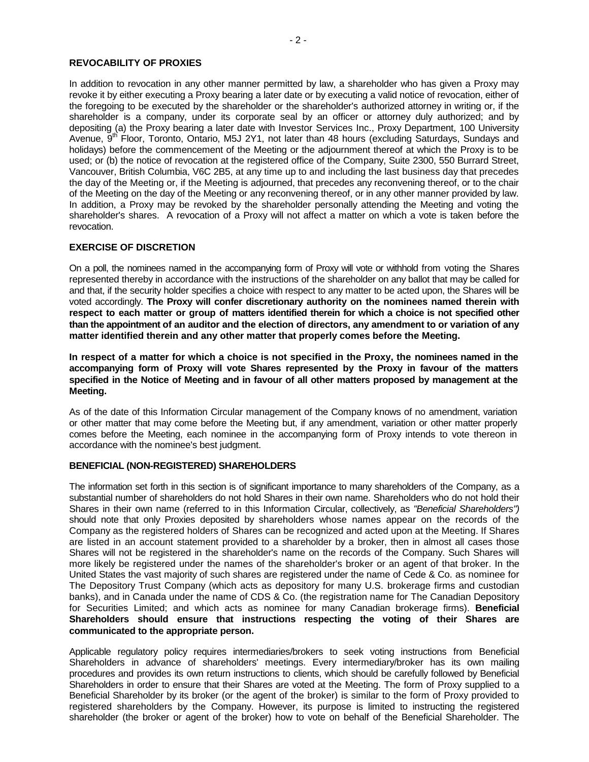#### **REVOCABILITY OF PROXIES**

In addition to revocation in any other manner permitted by law, a shareholder who has given a Proxy may revoke it by either executing a Proxy bearing a later date or by executing a valid notice of revocation, either of the foregoing to be executed by the shareholder or the shareholder's authorized attorney in writing or, if the shareholder is a company, under its corporate seal by an officer or attorney duly authorized; and by depositing (a) the Proxy bearing a later date with Investor Services Inc., Proxy Department, 100 University Avenue, 9<sup>th</sup> Floor, Toronto, Ontario, M5J 2Y1, not later than 48 hours (excluding Saturdays, Sundays and holidays) before the commencement of the Meeting or the adjournment thereof at which the Proxy is to be used; or (b) the notice of revocation at the registered office of the Company, Suite 2300, 550 Burrard Street, Vancouver, British Columbia, V6C 2B5, at any time up to and including the last business day that precedes the day of the Meeting or, if the Meeting is adjourned, that precedes any reconvening thereof, or to the chair of the Meeting on the day of the Meeting or any reconvening thereof, or in any other manner provided by law. In addition, a Proxy may be revoked by the shareholder personally attending the Meeting and voting the shareholder's shares. A revocation of a Proxy will not affect a matter on which a vote is taken before the revocation.

#### **EXERCISE OF DISCRETION**

On a poll, the nominees named in the accompanying form of Proxy will vote or withhold from voting the Shares represented thereby in accordance with the instructions of the shareholder on any ballot that may be called for and that, if the security holder specifies a choice with respect to any matter to be acted upon, the Shares will be voted accordingly. **The Proxy will confer discretionary authority on the nominees named therein with respect to each matter or group of matters identified therein for which a choice is not specified other than the appointment of an auditor and the election of directors, any amendment to or variation of any matter identified therein and any other matter that properly comes before the Meeting.** 

**In respect of a matter for which a choice is not specified in the Proxy, the nominees named in the accompanying form of Proxy will vote Shares represented by the Proxy in favour of the matters specified in the Notice of Meeting and in favour of all other matters proposed by management at the Meeting.**

As of the date of this Information Circular management of the Company knows of no amendment, variation or other matter that may come before the Meeting but, if any amendment, variation or other matter properly comes before the Meeting, each nominee in the accompanying form of Proxy intends to vote thereon in accordance with the nominee's best judgment.

#### **BENEFICIAL (NON-REGISTERED) SHAREHOLDERS**

The information set forth in this section is of significant importance to many shareholders of the Company, as a substantial number of shareholders do not hold Shares in their own name. Shareholders who do not hold their Shares in their own name (referred to in this Information Circular, collectively, as *"Beneficial Shareholders")*  should note that only Proxies deposited by shareholders whose names appear on the records of the Company as the registered holders of Shares can be recognized and acted upon at the Meeting. If Shares are listed in an account statement provided to a shareholder by a broker, then in almost all cases those Shares will not be registered in the shareholder's name on the records of the Company. Such Shares will more likely be registered under the names of the shareholder's broker or an agent of that broker. In the United States the vast majority of such shares are registered under the name of Cede & Co. as nominee for The Depository Trust Company (which acts as depository for many U.S. brokerage firms and custodian banks), and in Canada under the name of CDS & Co. (the registration name for The Canadian Depository for Securities Limited; and which acts as nominee for many Canadian brokerage firms). **Beneficial Shareholders should ensure that instructions respecting the voting of their Shares are communicated to the appropriate person.**

Applicable regulatory policy requires intermediaries/brokers to seek voting instructions from Beneficial Shareholders in advance of shareholders' meetings. Every intermediary/broker has its own mailing procedures and provides its own return instructions to clients, which should be carefully followed by Beneficial Shareholders in order to ensure that their Shares are voted at the Meeting. The form of Proxy supplied to a Beneficial Shareholder by its broker (or the agent of the broker) is similar to the form of Proxy provided to registered shareholders by the Company. However, its purpose is limited to instructing the registered shareholder (the broker or agent of the broker) how to vote on behalf of the Beneficial Shareholder. The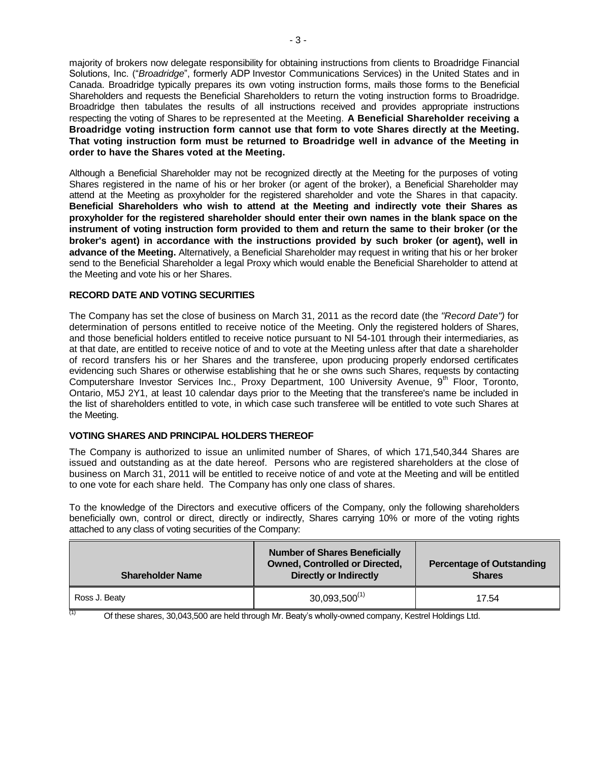majority of brokers now delegate responsibility for obtaining instructions from clients to Broadridge Financial Solutions, Inc. ("*Broadridge*", formerly ADP Investor Communications Services) in the United States and in Canada. Broadridge typically prepares its own voting instruction forms, mails those forms to the Beneficial Shareholders and requests the Beneficial Shareholders to return the voting instruction forms to Broadridge. Broadridge then tabulates the results of all instructions received and provides appropriate instructions respecting the voting of Shares to be represented at the Meeting. **A Beneficial Shareholder receiving a Broadridge voting instruction form cannot use that form to vote Shares directly at the Meeting. That voting instruction form must be returned to Broadridge well in advance of the Meeting in order to have the Shares voted at the Meeting.**

Although a Beneficial Shareholder may not be recognized directly at the Meeting for the purposes of voting Shares registered in the name of his or her broker (or agent of the broker), a Beneficial Shareholder may attend at the Meeting as proxyholder for the registered shareholder and vote the Shares in that capacity. **Beneficial Shareholders who wish to attend at the Meeting and indirectly vote their Shares as proxyholder for the registered shareholder should enter their own names in the blank space on the instrument of voting instruction form provided to them and return the same to their broker (or the broker's agent) in accordance with the instructions provided by such broker (or agent), well in advance of the Meeting.** Alternatively, a Beneficial Shareholder may request in writing that his or her broker send to the Beneficial Shareholder a legal Proxy which would enable the Beneficial Shareholder to attend at the Meeting and vote his or her Shares.

#### **RECORD DATE AND VOTING SECURITIES**

The Company has set the close of business on March 31, 2011 as the record date (the *"Record Date")* for determination of persons entitled to receive notice of the Meeting. Only the registered holders of Shares, and those beneficial holders entitled to receive notice pursuant to NI 54-101 through their intermediaries, as at that date, are entitled to receive notice of and to vote at the Meeting unless after that date a shareholder of record transfers his or her Shares and the transferee, upon producing properly endorsed certificates evidencing such Shares or otherwise establishing that he or she owns such Shares, requests by contacting Computershare Investor Services Inc., Proxy Department, 100 University Avenue, 9<sup>th</sup> Floor, Toronto, Ontario, M5J 2Y1, at least 10 calendar days prior to the Meeting that the transferee's name be included in the list of shareholders entitled to vote, in which case such transferee will be entitled to vote such Shares at the Meeting.

### **VOTING SHARES AND PRINCIPAL HOLDERS THEREOF**

The Company is authorized to issue an unlimited number of Shares, of which 171,540,344 Shares are issued and outstanding as at the date hereof. Persons who are registered shareholders at the close of business on March 31, 2011 will be entitled to receive notice of and vote at the Meeting and will be entitled to one vote for each share held. The Company has only one class of shares.

To the knowledge of the Directors and executive officers of the Company, only the following shareholders beneficially own, control or direct, directly or indirectly, Shares carrying 10% or more of the voting rights attached to any class of voting securities of the Company:

| <b>Shareholder Name</b> | <b>Number of Shares Beneficially</b><br><b>Owned, Controlled or Directed,</b><br><b>Directly or Indirectly</b> | <b>Percentage of Outstanding</b><br><b>Shares</b> |
|-------------------------|----------------------------------------------------------------------------------------------------------------|---------------------------------------------------|
| Ross J. Beaty           | $30,093,500^{(1)}$                                                                                             | 17.54                                             |

 $\frac{(1)}{(1)}$  Of these shares, 30,043,500 are held through Mr. Beaty's wholly-owned company, Kestrel Holdings Ltd.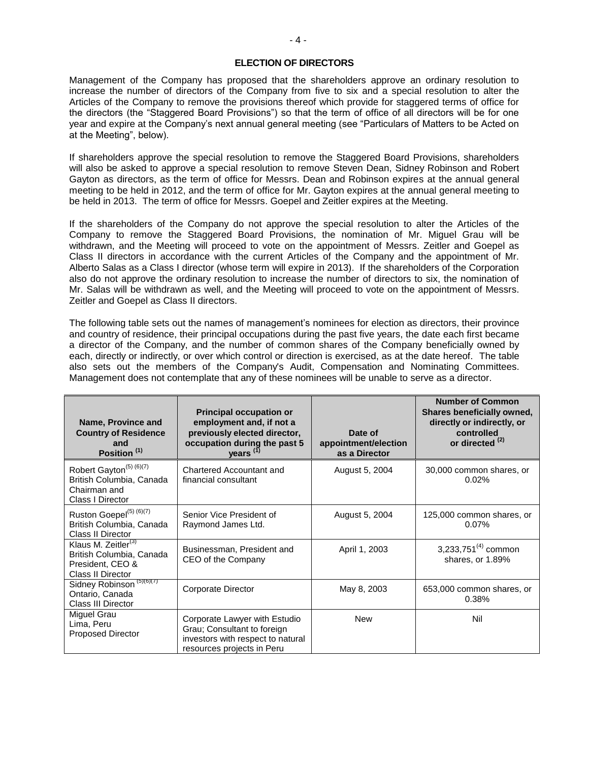#### **ELECTION OF DIRECTORS**

Management of the Company has proposed that the shareholders approve an ordinary resolution to increase the number of directors of the Company from five to six and a special resolution to alter the Articles of the Company to remove the provisions thereof which provide for staggered terms of office for the directors (the "Staggered Board Provisions") so that the term of office of all directors will be for one year and expire at the Company"s next annual general meeting (see "Particulars of Matters to be Acted on at the Meeting", below).

If shareholders approve the special resolution to remove the Staggered Board Provisions, shareholders will also be asked to approve a special resolution to remove Steven Dean, Sidney Robinson and Robert Gayton as directors, as the term of office for Messrs. Dean and Robinson expires at the annual general meeting to be held in 2012, and the term of office for Mr. Gayton expires at the annual general meeting to be held in 2013. The term of office for Messrs. Goepel and Zeitler expires at the Meeting.

If the shareholders of the Company do not approve the special resolution to alter the Articles of the Company to remove the Staggered Board Provisions, the nomination of Mr. Miguel Grau will be withdrawn, and the Meeting will proceed to vote on the appointment of Messrs. Zeitler and Goepel as Class II directors in accordance with the current Articles of the Company and the appointment of Mr. Alberto Salas as a Class I director (whose term will expire in 2013). If the shareholders of the Corporation also do not approve the ordinary resolution to increase the number of directors to six, the nomination of Mr. Salas will be withdrawn as well, and the Meeting will proceed to vote on the appointment of Messrs. Zeitler and Goepel as Class II directors.

The following table sets out the names of management's nominees for election as directors, their province and country of residence, their principal occupations during the past five years, the date each first became a director of the Company, and the number of common shares of the Company beneficially owned by each, directly or indirectly, or over which control or direction is exercised, as at the date hereof. The table also sets out the members of the Company's Audit, Compensation and Nominating Committees. Management does not contemplate that any of these nominees will be unable to serve as a director.

| Name, Province and<br><b>Country of Residence</b><br>and<br>Position <sup>(1)</sup>                  | <b>Principal occupation or</b><br>employment and, if not a<br>previously elected director,<br>occupation during the past 5<br>years <sup>(1)</sup> | Date of<br>appointment/election<br>as a Director | <b>Number of Common</b><br>Shares beneficially owned,<br>directly or indirectly, or<br>controlled<br>or directed <sup>(2)</sup> |
|------------------------------------------------------------------------------------------------------|----------------------------------------------------------------------------------------------------------------------------------------------------|--------------------------------------------------|---------------------------------------------------------------------------------------------------------------------------------|
| Robert Gayton <sup>(5) (6)(7)</sup><br>British Columbia, Canada<br>Chairman and<br>Class I Director  | <b>Chartered Accountant and</b><br>financial consultant                                                                                            | August 5, 2004                                   | 30,000 common shares, or<br>0.02%                                                                                               |
| Ruston Goepel <sup>(5) (6)(7)</sup><br>British Columbia, Canada<br>Class II Director                 | Senior Vice President of<br>Raymond James Ltd.                                                                                                     | August 5, 2004                                   | 125,000 common shares, or<br>0.07%                                                                                              |
| Klaus M. Zeitler <sup>(3)</sup><br>British Columbia, Canada<br>President, CEO &<br>Class II Director | Businessman, President and<br>CEO of the Company                                                                                                   | April 1, 2003                                    | 3,233,751 $(4)$ common<br>shares, or 1.89%                                                                                      |
| Sidney Robinson <sup>(5)(6)(7)</sup><br>Ontario, Canada<br>Class III Director                        | Corporate Director                                                                                                                                 | May 8, 2003                                      | 653,000 common shares, or<br>0.38%                                                                                              |
| Miguel Grau<br>Lima, Peru<br><b>Proposed Director</b>                                                | Corporate Lawyer with Estudio<br>Grau; Consultant to foreign<br>investors with respect to natural<br>resources projects in Peru                    | <b>New</b>                                       | Nil                                                                                                                             |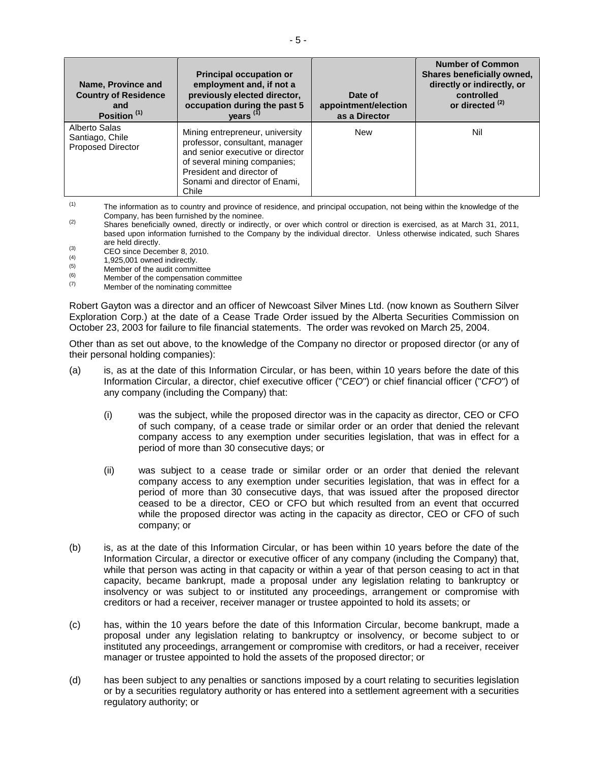| Name, Province and<br><b>Country of Residence</b><br>and<br>Position <sup>(1)</sup> | <b>Principal occupation or</b><br>employment and, if not a<br>previously elected director,<br>occupation during the past 5<br>years <sup>(1)</sup>                                                           | Date of<br>appointment/election<br>as a Director | <b>Number of Common</b><br>Shares beneficially owned,<br>directly or indirectly, or<br>controlled<br>or directed <sup>(2)</sup> |
|-------------------------------------------------------------------------------------|--------------------------------------------------------------------------------------------------------------------------------------------------------------------------------------------------------------|--------------------------------------------------|---------------------------------------------------------------------------------------------------------------------------------|
| Alberto Salas<br>Santiago, Chile<br><b>Proposed Director</b>                        | Mining entrepreneur, university<br>professor, consultant, manager<br>and senior executive or director<br>of several mining companies;<br>President and director of<br>Sonami and director of Enami,<br>Chile | <b>New</b>                                       | Nil                                                                                                                             |

(1) The information as to country and province of residence, and principal occupation, not being within the knowledge of the Company, has been furnished by the nominee.

- (2) Shares beneficially owned, directly or indirectly, or over which control or direction is exercised, as at March 31, 2011, based upon information furnished to the Company by the individual director. Unless otherwise indicated, such Shares are held directly.
- (3) CEO since December 8, 2010.
- $(4)$ 1,925,001 owned indirectly.
- (5) Member of the audit committee
- $(7)$  Member of the compensation committee  $(7)$
- Member of the nominating committee

Robert Gayton was a director and an officer of Newcoast Silver Mines Ltd. (now known as Southern Silver Exploration Corp.) at the date of a Cease Trade Order issued by the Alberta Securities Commission on October 23, 2003 for failure to file financial statements. The order was revoked on March 25, 2004.

Other than as set out above, to the knowledge of the Company no director or proposed director (or any of their personal holding companies):

- (a) is, as at the date of this Information Circular, or has been, within 10 years before the date of this Information Circular, a director, chief executive officer ("*CEO*") or chief financial officer ("*CFO*") of any company (including the Company) that:
	- (i) was the subject, while the proposed director was in the capacity as director, CEO or CFO of such company, of a cease trade or similar order or an order that denied the relevant company access to any exemption under securities legislation, that was in effect for a period of more than 30 consecutive days; or
	- (ii) was subject to a cease trade or similar order or an order that denied the relevant company access to any exemption under securities legislation, that was in effect for a period of more than 30 consecutive days, that was issued after the proposed director ceased to be a director, CEO or CFO but which resulted from an event that occurred while the proposed director was acting in the capacity as director, CEO or CFO of such company; or
- (b) is, as at the date of this Information Circular, or has been within 10 years before the date of the Information Circular, a director or executive officer of any company (including the Company) that, while that person was acting in that capacity or within a year of that person ceasing to act in that capacity, became bankrupt, made a proposal under any legislation relating to bankruptcy or insolvency or was subject to or instituted any proceedings, arrangement or compromise with creditors or had a receiver, receiver manager or trustee appointed to hold its assets; or
- (c) has, within the 10 years before the date of this Information Circular, become bankrupt, made a proposal under any legislation relating to bankruptcy or insolvency, or become subject to or instituted any proceedings, arrangement or compromise with creditors, or had a receiver, receiver manager or trustee appointed to hold the assets of the proposed director; or
- (d) has been subject to any penalties or sanctions imposed by a court relating to securities legislation or by a securities regulatory authority or has entered into a settlement agreement with a securities regulatory authority; or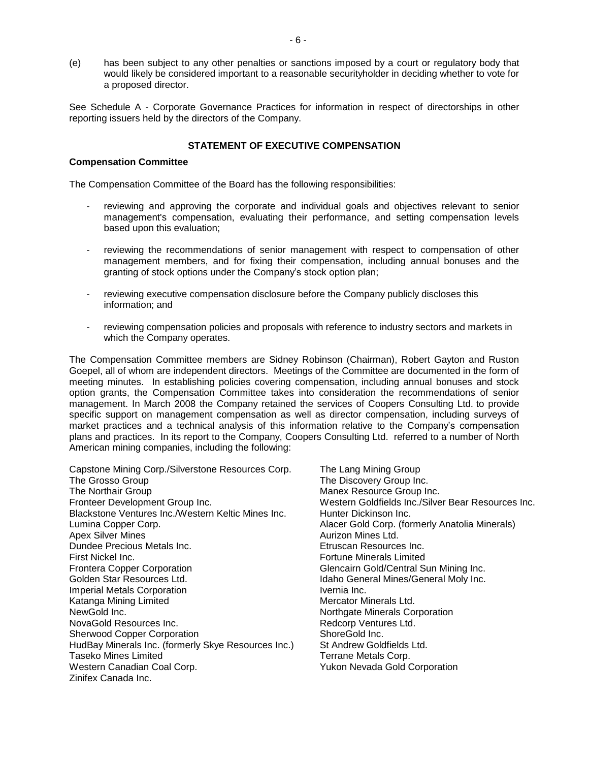(e) has been subject to any other penalties or sanctions imposed by a court or regulatory body that would likely be considered important to a reasonable securityholder in deciding whether to vote for a proposed director.

See Schedule A - Corporate Governance Practices for information in respect of directorships in other reporting issuers held by the directors of the Company.

#### **STATEMENT OF EXECUTIVE COMPENSATION**

#### **Compensation Committee**

The Compensation Committee of the Board has the following responsibilities:

- reviewing and approving the corporate and individual goals and objectives relevant to senior management's compensation, evaluating their performance, and setting compensation levels based upon this evaluation;
- reviewing the recommendations of senior management with respect to compensation of other management members, and for fixing their compensation, including annual bonuses and the granting of stock options under the Company"s stock option plan;
- reviewing executive compensation disclosure before the Company publicly discloses this information; and
- reviewing compensation policies and proposals with reference to industry sectors and markets in which the Company operates.

The Compensation Committee members are Sidney Robinson (Chairman), Robert Gayton and Ruston Goepel, all of whom are independent directors. Meetings of the Committee are documented in the form of meeting minutes. In establishing policies covering compensation, including annual bonuses and stock option grants, the Compensation Committee takes into consideration the recommendations of senior management. In March 2008 the Company retained the services of Coopers Consulting Ltd. to provide specific support on management compensation as well as director compensation, including surveys of market practices and a technical analysis of this information relative to the Company"s compensation plans and practices. In its report to the Company, Coopers Consulting Ltd. referred to a number of North American mining companies, including the following:

Capstone Mining Corp./Silverstone Resources Corp. The Lang Mining Group The Grosso Group The Discovery Group Inc. The Northair Group **Manex Resource Group Inc.** Manex Resource Group Inc. Fronteer Development Group Inc. Western Goldfields Inc./Silver Bear Resources Inc. Blackstone Ventures Inc./Western Keltic Mines Inc. Hunter Dickinson Inc. Lumina Copper Corp. **Alacer Gold Corp.** (formerly Anatolia Minerals) Apex Silver Mines **Aurizon Mines Ltd.** Aurizon Mines Ltd. Dundee Precious Metals Inc. Etruscan Resources Inc. First Nickel Inc. Fortune Minerals Limited Frontera Copper Corporation **Glencairn Gold/Central Sun Mining Inc.** Golden Star Resources Ltd. The State of the Idaho General Mines/General Moly Inc. Imperial Metals Corporation **Imperial Metals** Corporation Katanga Mining Limited **Mercator Minerals Ltd.** Mercator Minerals Ltd. NewGold Inc. **Northern Corporation** Northgate Minerals Corporation NovaGold Resources Inc. The Control of Redcorp Ventures Ltd. Sherwood Copper Corporation ShoreGold Inc. HudBay Minerals Inc. (formerly Skye Resources Inc.) St Andrew Goldfields Ltd. Taseko Mines Limited<br>
Western Canadian Coal Corp.<br>
Western Canadian Coal Corp.<br>
Terrane Metals Corp. Yukon Nevada Gold Corporation Zinifex Canada Inc.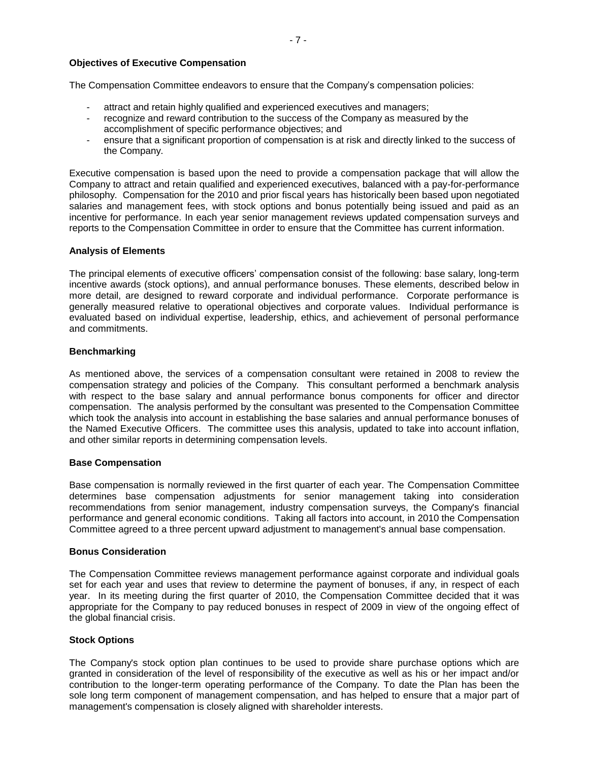#### **Objectives of Executive Compensation**

The Compensation Committee endeavors to ensure that the Company"s compensation policies:

- attract and retain highly qualified and experienced executives and managers;
- recognize and reward contribution to the success of the Company as measured by the accomplishment of specific performance objectives; and
- ensure that a significant proportion of compensation is at risk and directly linked to the success of the Company.

Executive compensation is based upon the need to provide a compensation package that will allow the Company to attract and retain qualified and experienced executives, balanced with a pay-for-performance philosophy. Compensation for the 2010 and prior fiscal years has historically been based upon negotiated salaries and management fees, with stock options and bonus potentially being issued and paid as an incentive for performance. In each year senior management reviews updated compensation surveys and reports to the Compensation Committee in order to ensure that the Committee has current information.

#### **Analysis of Elements**

The principal elements of executive officers" compensation consist of the following: base salary, long-term incentive awards (stock options), and annual performance bonuses. These elements, described below in more detail, are designed to reward corporate and individual performance. Corporate performance is generally measured relative to operational objectives and corporate values. Individual performance is evaluated based on individual expertise, leadership, ethics, and achievement of personal performance and commitments.

#### **Benchmarking**

As mentioned above, the services of a compensation consultant were retained in 2008 to review the compensation strategy and policies of the Company. This consultant performed a benchmark analysis with respect to the base salary and annual performance bonus components for officer and director compensation. The analysis performed by the consultant was presented to the Compensation Committee which took the analysis into account in establishing the base salaries and annual performance bonuses of the Named Executive Officers. The committee uses this analysis, updated to take into account inflation, and other similar reports in determining compensation levels.

#### **Base Compensation**

Base compensation is normally reviewed in the first quarter of each year. The Compensation Committee determines base compensation adjustments for senior management taking into consideration recommendations from senior management, industry compensation surveys, the Company's financial performance and general economic conditions. Taking all factors into account, in 2010 the Compensation Committee agreed to a three percent upward adjustment to management's annual base compensation.

#### **Bonus Consideration**

The Compensation Committee reviews management performance against corporate and individual goals set for each year and uses that review to determine the payment of bonuses, if any, in respect of each year. In its meeting during the first quarter of 2010, the Compensation Committee decided that it was appropriate for the Company to pay reduced bonuses in respect of 2009 in view of the ongoing effect of the global financial crisis.

#### **Stock Options**

The Company's stock option plan continues to be used to provide share purchase options which are granted in consideration of the level of responsibility of the executive as well as his or her impact and/or contribution to the longer-term operating performance of the Company. To date the Plan has been the sole long term component of management compensation, and has helped to ensure that a major part of management's compensation is closely aligned with shareholder interests.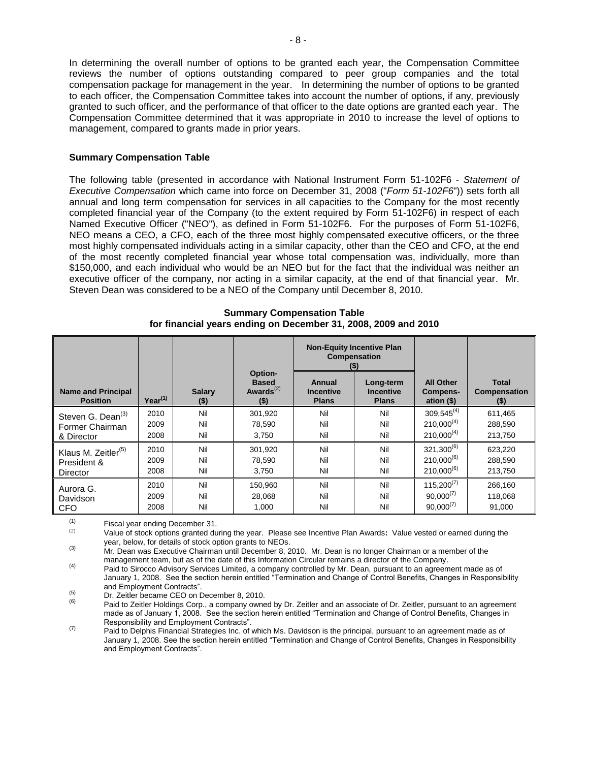In determining the overall number of options to be granted each year, the Compensation Committee reviews the number of options outstanding compared to peer group companies and the total compensation package for management in the year. In determining the number of options to be granted to each officer, the Compensation Committee takes into account the number of options, if any, previously granted to such officer, and the performance of that officer to the date options are granted each year. The Compensation Committee determined that it was appropriate in 2010 to increase the level of options to management, compared to grants made in prior years.

#### **Summary Compensation Table**

The following table (presented in accordance with National Instrument Form 51-102F6 - *Statement of Executive Compensation* which came into force on December 31, 2008 ("*Form 51-102F6*")) sets forth all annual and long term compensation for services in all capacities to the Company for the most recently completed financial year of the Company (to the extent required by Form 51-102F6) in respect of each Named Executive Officer ("NEO"), as defined in Form 51-102F6. For the purposes of Form 51-102F6, NEO means a CEO, a CFO, each of the three most highly compensated executive officers, or the three most highly compensated individuals acting in a similar capacity, other than the CEO and CFO, at the end of the most recently completed financial year whose total compensation was, individually, more than \$150,000, and each individual who would be an NEO but for the fact that the individual was neither an executive officer of the company, nor acting in a similar capacity, at the end of that financial year. Mr. Steven Dean was considered to be a NEO of the Company until December 8, 2010.

|                                              |              |                         | <b>Non-Equity Incentive Plan</b><br>Compensation<br>$($ \$) |                                            |                                               |                                             |                                                |
|----------------------------------------------|--------------|-------------------------|-------------------------------------------------------------|--------------------------------------------|-----------------------------------------------|---------------------------------------------|------------------------------------------------|
| <b>Name and Principal</b><br><b>Position</b> | $Year^{(1)}$ | <b>Salary</b><br>$(\$)$ | Option-<br><b>Based</b><br>Awards $(2)$<br>$($ \$)          | Annual<br><b>Incentive</b><br><b>Plans</b> | Long-term<br><b>Incentive</b><br><b>Plans</b> | <b>All Other</b><br>Compens-<br>ation $($)$ | <b>Total</b><br><b>Compensation</b><br>$($ \$) |
| Steven G. Dean <sup>(3)</sup>                | 2010         | Nil                     | 301,920                                                     | Nil                                        | Nil                                           | $309,545^{(4)}$                             | 611,465                                        |
| Former Chairman                              | 2009         | Nil                     | 78.590                                                      | Nil                                        | Nil                                           | $210,000^{(4)}$                             | 288,590                                        |
| & Director                                   | 2008         | Nil                     | 3.750                                                       | Nil                                        | Nil                                           | $210,000^{(4)}$                             | 213,750                                        |
| Klaus M. Zeitler <sup>(5)</sup>              | 2010         | Nil                     | 301,920                                                     | Nil                                        | Nil                                           | $321,300^{(6)}$                             | 623,220                                        |
| President &                                  | 2009         | Nil                     | 78.590                                                      | Nil                                        | Nil                                           | $210.000^{(6)}$                             | 288,590                                        |
| Director                                     | 2008         | Nil                     | 3,750                                                       | Nil                                        | Nil                                           | $210,000^{(6)}$                             | 213,750                                        |
| Aurora G.                                    | 2010         | Nil                     | 150,960                                                     | Nil                                        | Nil                                           | $115,200^{(7)}$                             | 266,160                                        |
| Davidson                                     | 2009         | Nil                     | 28,068                                                      | Nil                                        | Nil                                           | $90,000^{(7)}$                              | 118,068                                        |
| <b>CFO</b>                                   | 2008         | Nil                     | 1,000                                                       | Nil                                        | Nil                                           | $90,000^{(7)}$                              | 91,000                                         |

**Summary Compensation Table for financial years ending on December 31, 2008, 2009 and 2010**

 $(1)$  Fiscal year ending December 31.<br> $(2)$  Value of stock options grapted du

(2) Value of stock options granted during the year. Please see Incentive Plan Awards**:** Value vested or earned during the year, below, for details of stock option grants to NEOs.

(3) Mr. Dean was Executive Chairman until December 8, 2010. Mr. Dean is no longer Chairman or a member of the management team, but as of the date of this Information Circular remains a director of the Company.

(4) Paid to Sirocco Advisory Services Limited, a company controlled by Mr. Dean, pursuant to an agreement made as of January 1, 2008. See the section herein entitled "Termination and Change of Control Benefits, Changes in Responsibility and Employment Contracts".

 $(5)$  Dr. Zeitler became CEO on December 8, 2010.

Paid to Zeitler Holdings Corp., a company owned by Dr. Zeitler and an associate of Dr. Zeitler, pursuant to an agreement made as of January 1, 2008. See the section herein entitled "Termination and Change of Control Benefits, Changes in Responsibility and Employment Contracts".

(7) Paid to Delphis Financial Strategies Inc. of which Ms. Davidson is the principal, pursuant to an agreement made as of January 1, 2008. See the section herein entitled "Termination and Change of Control Benefits, Changes in Responsibility and Employment Contracts".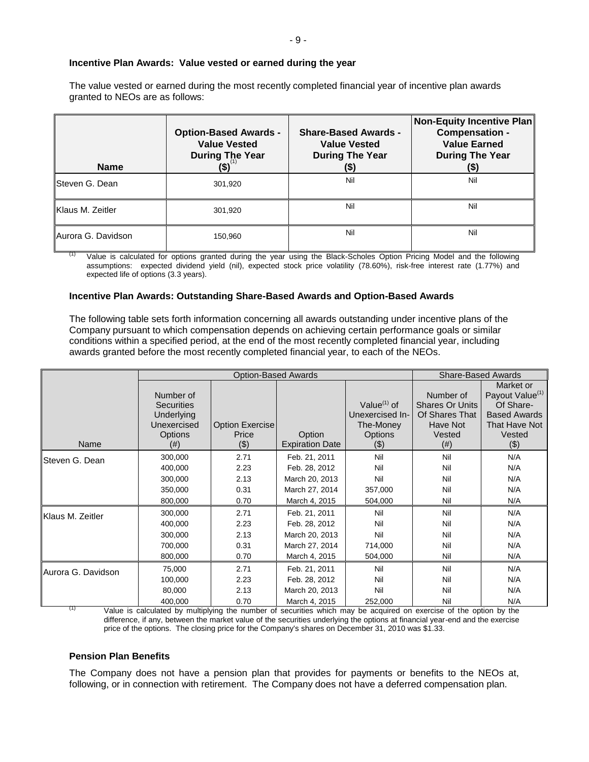#### **Incentive Plan Awards: Value vested or earned during the year**

The value vested or earned during the most recently completed financial year of incentive plan awards granted to NEOs are as follows:

| <b>Name</b>        | <b>Option-Based Awards -</b><br><b>Value Vested</b><br><b>During The Year</b><br>(\$) | <b>Share-Based Awards -</b><br><b>Value Vested</b><br><b>During The Year</b><br>(\$) | Non-Equity Incentive Plan<br><b>Compensation -</b><br><b>Value Earned</b><br><b>During The Year</b><br>(\$) |
|--------------------|---------------------------------------------------------------------------------------|--------------------------------------------------------------------------------------|-------------------------------------------------------------------------------------------------------------|
| Steven G. Dean     | 301.920                                                                               | Nil                                                                                  | Nil                                                                                                         |
| Klaus M. Zeitler   | 301.920                                                                               | Nil                                                                                  | Nil                                                                                                         |
| Aurora G. Davidson | 150,960                                                                               | Nil                                                                                  | Nil                                                                                                         |

Value is calculated for options granted during the year using the Black-Scholes Option Pricing Model and the following assumptions: expected dividend yield (nil), expected stock price volatility (78.60%), risk-free interest rate (1.77%) and expected life of options (3.3 years).

#### **Incentive Plan Awards: Outstanding Share-Based Awards and Option-Based Awards**

The following table sets forth information concerning all awards outstanding under incentive plans of the Company pursuant to which compensation depends on achieving certain performance goals or similar conditions within a specified period, at the end of the most recently completed financial year, including awards granted before the most recently completed financial year, to each of the NEOs.

|                    |                   | <b>Option-Based Awards</b> |                        | <b>Share-Based Awards</b> |                        |                             |
|--------------------|-------------------|----------------------------|------------------------|---------------------------|------------------------|-----------------------------|
|                    |                   |                            |                        |                           |                        | Market or                   |
|                    | Number of         |                            |                        |                           | Number of              | Payout Value <sup>(1)</sup> |
|                    | <b>Securities</b> |                            |                        | Value <sup>(1)</sup> of   | <b>Shares Or Units</b> | Of Share-                   |
|                    | Underlying        |                            |                        | Unexercised In-           | Of Shares That         | <b>Based Awards</b>         |
|                    | Unexercised       | Option Exercise            |                        | The-Money                 | Have Not               | That Have Not               |
|                    | Options           | Price                      | Option                 | <b>Options</b>            | Vested                 | Vested                      |
| Name               | (#)               | (3)                        | <b>Expiration Date</b> | (3)                       | $^{(#)}$               | $($ \$)                     |
| Steven G. Dean     | 300,000           | 2.71                       | Feb. 21, 2011          | Nil                       | Nil                    | N/A                         |
|                    | 400,000           | 2.23                       | Feb. 28, 2012          | Nil                       | Nil                    | N/A                         |
|                    | 300,000           | 2.13                       | March 20, 2013         | Nil                       | Nil                    | N/A                         |
|                    | 350,000           | 0.31                       | March 27, 2014         | 357,000                   | Nil                    | N/A                         |
|                    | 800,000           | 0.70                       | March 4, 2015          | 504,000                   | Nil                    | N/A                         |
| Klaus M. Zeitler   | 300,000           | 2.71                       | Feb. 21, 2011          | Nil                       | Nil                    | N/A                         |
|                    | 400,000           | 2.23                       | Feb. 28, 2012          | Nil                       | Nil                    | N/A                         |
|                    | 300,000           | 2.13                       | March 20, 2013         | Nil                       | Nil                    | N/A                         |
|                    | 700,000           | 0.31                       | March 27, 2014         | 714,000                   | Nil                    | N/A                         |
|                    | 800,000           | 0.70                       | March 4, 2015          | 504,000                   | Nil                    | N/A                         |
| Aurora G. Davidson | 75,000            | 2.71                       | Feb. 21, 2011          | Nil                       | Nil                    | N/A                         |
|                    | 100,000           | 2.23                       | Feb. 28, 2012          | Nil                       | Nil                    | N/A                         |
|                    | 80,000            | 2.13                       | March 20, 2013         | Nil                       | Nil                    | N/A                         |
|                    | 400,000           | 0.70                       | March 4, 2015          | 252,000                   | Nil                    | N/A                         |

(1) Value is calculated by multiplying the number of securities which may be acquired on exercise of the option by the difference, if any, between the market value of the securities underlying the options at financial year-end and the exercise price of the options. The closing price for the Company's shares on December 31, 2010 was \$1.33.

#### **Pension Plan Benefits**

The Company does not have a pension plan that provides for payments or benefits to the NEOs at, following, or in connection with retirement. The Company does not have a deferred compensation plan.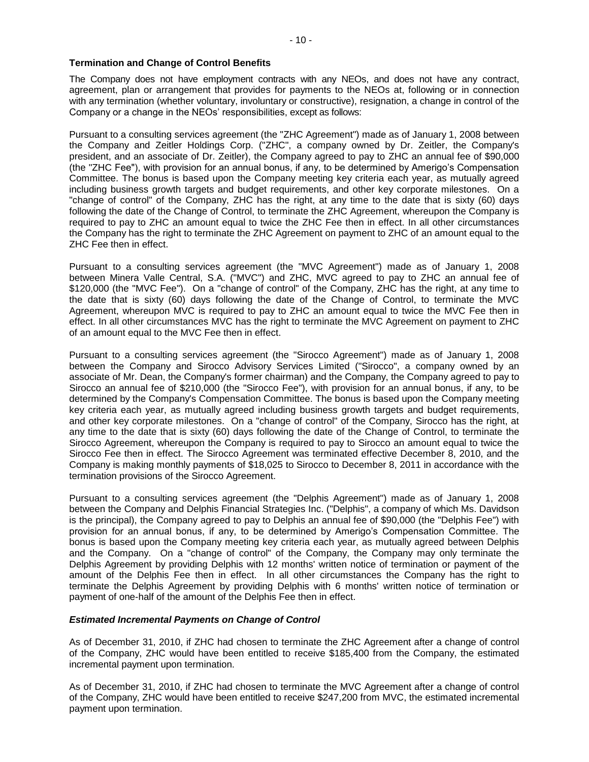#### **Termination and Change of Control Benefits**

The Company does not have employment contracts with any NEOs, and does not have any contract, agreement, plan or arrangement that provides for payments to the NEOs at, following or in connection with any termination (whether voluntary, involuntary or constructive), resignation, a change in control of the Company or a change in the NEOs' responsibilities, except as follows:

Pursuant to a consulting services agreement (the "ZHC Agreement") made as of January 1, 2008 between the Company and Zeitler Holdings Corp. ("ZHC", a company owned by Dr. Zeitler, the Company's president, and an associate of Dr. Zeitler), the Company agreed to pay to ZHC an annual fee of \$90,000 (the "ZHC Fee"), with provision for an annual bonus, if any, to be determined by Amerigo"s Compensation Committee. The bonus is based upon the Company meeting key criteria each year, as mutually agreed including business growth targets and budget requirements, and other key corporate milestones. On a "change of control" of the Company, ZHC has the right, at any time to the date that is sixty (60) days following the date of the Change of Control, to terminate the ZHC Agreement, whereupon the Company is required to pay to ZHC an amount equal to twice the ZHC Fee then in effect. In all other circumstances the Company has the right to terminate the ZHC Agreement on payment to ZHC of an amount equal to the ZHC Fee then in effect.

Pursuant to a consulting services agreement (the "MVC Agreement") made as of January 1, 2008 between Minera Valle Central, S.A. ("MVC") and ZHC, MVC agreed to pay to ZHC an annual fee of \$120,000 (the "MVC Fee"). On a "change of control" of the Company, ZHC has the right, at any time to the date that is sixty (60) days following the date of the Change of Control, to terminate the MVC Agreement, whereupon MVC is required to pay to ZHC an amount equal to twice the MVC Fee then in effect. In all other circumstances MVC has the right to terminate the MVC Agreement on payment to ZHC of an amount equal to the MVC Fee then in effect.

Pursuant to a consulting services agreement (the "Sirocco Agreement") made as of January 1, 2008 between the Company and Sirocco Advisory Services Limited ("Sirocco", a company owned by an associate of Mr. Dean, the Company's former chairman) and the Company, the Company agreed to pay to Sirocco an annual fee of \$210,000 (the "Sirocco Fee"), with provision for an annual bonus, if any, to be determined by the Company's Compensation Committee. The bonus is based upon the Company meeting key criteria each year, as mutually agreed including business growth targets and budget requirements, and other key corporate milestones. On a "change of control" of the Company, Sirocco has the right, at any time to the date that is sixty (60) days following the date of the Change of Control, to terminate the Sirocco Agreement, whereupon the Company is required to pay to Sirocco an amount equal to twice the Sirocco Fee then in effect. The Sirocco Agreement was terminated effective December 8, 2010, and the Company is making monthly payments of \$18,025 to Sirocco to December 8, 2011 in accordance with the termination provisions of the Sirocco Agreement.

Pursuant to a consulting services agreement (the "Delphis Agreement") made as of January 1, 2008 between the Company and Delphis Financial Strategies Inc. ("Delphis", a company of which Ms. Davidson is the principal), the Company agreed to pay to Delphis an annual fee of \$90,000 (the "Delphis Fee") with provision for an annual bonus, if any, to be determined by Amerigo"s Compensation Committee. The bonus is based upon the Company meeting key criteria each year, as mutually agreed between Delphis and the Company. On a "change of control" of the Company, the Company may only terminate the Delphis Agreement by providing Delphis with 12 months' written notice of termination or payment of the amount of the Delphis Fee then in effect. In all other circumstances the Company has the right to terminate the Delphis Agreement by providing Delphis with 6 months' written notice of termination or payment of one-half of the amount of the Delphis Fee then in effect.

#### *Estimated Incremental Payments on Change of Control*

As of December 31, 2010, if ZHC had chosen to terminate the ZHC Agreement after a change of control of the Company, ZHC would have been entitled to receive \$185,400 from the Company, the estimated incremental payment upon termination.

As of December 31, 2010, if ZHC had chosen to terminate the MVC Agreement after a change of control of the Company, ZHC would have been entitled to receive \$247,200 from MVC, the estimated incremental payment upon termination.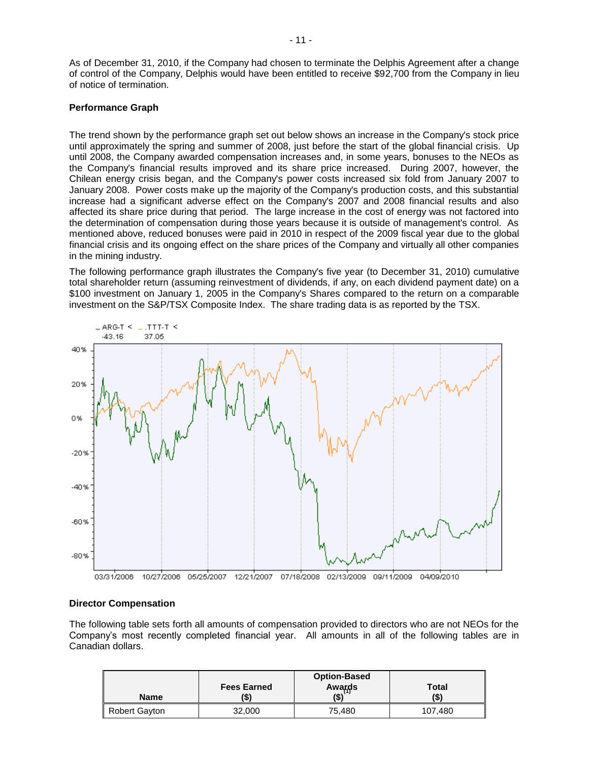As of December 31, 2010, if the Company had chosen to terminate the Delphis Agreement after a change of control of the Company, Delphis would have been entitled to receive \$92,700 from the Company in lieu of notice of termination.

#### **Performance Graph**

The trend shown by the performance graph set out below shows an increase in the Company's stock price until approximately the spring and summer of 2008, just before the start of the global financial crisis. Up until 2008, the Company awarded compensation increases and, in some years, bonuses to the NEOs as the Company's financial results improved and its share price increased. During 2007, however, the Chilean energy crisis began, and the Company's power costs increased six fold from January 2007 to January 2008. Power costs make up the majority of the Company's production costs, and this substantial increase had a significant adverse effect on the Company's 2007 and 2008 financial results and also affected its share price during that period. The large increase in the cost of energy was not factored into the determination of compensation during those years because it is outside of management's control. As mentioned above, reduced bonuses were paid in 2010 in respect of the 2009 fiscal year due to the global financial crisis and its ongoing effect on the share prices of the Company and virtually all other companies in the mining industry.

The following performance graph illustrates the Company's five year (to December 31, 2010) cumulative total shareholder return (assuming reinvestment of dividends, if any, on each dividend payment date) on a \$100 investment on January 1, 2005 in the Company's Shares compared to the return on a comparable investment on the S&P/TSX Composite Index. The share trading data is as reported by the TSX.



#### **Director Compensation**

The following table sets forth all amounts of compensation provided to directors who are not NEOs for the Company"s most recently completed financial year. All amounts in all of the following tables are in Canadian dollars.

| <b>Name</b>          | <b>Fees Earned</b> | <b>Option-Based</b> | <b>Total</b> |
|----------------------|--------------------|---------------------|--------------|
|                      | (\$)               | Awards<br>(\$)      | (\$`         |
| <b>Robert Gayton</b> | 32,000             | 75.480              | 107,480      |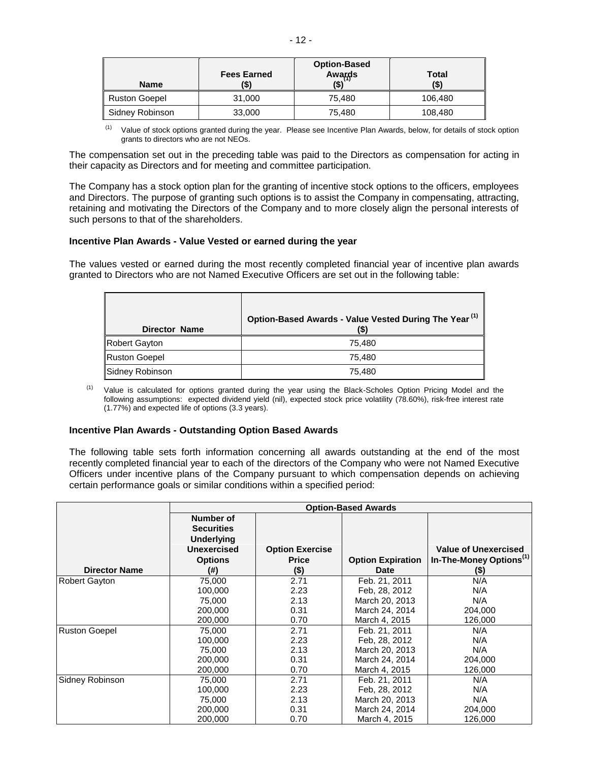| <b>Name</b>          | <b>Fees Earned</b> | <b>Option-Based</b><br>Awards | Total<br>(\$) |
|----------------------|--------------------|-------------------------------|---------------|
| <b>Ruston Goepel</b> | 31,000             | 75.480                        | 106,480       |
| Sidney Robinson      | 33,000             | 75.480                        | 108,480       |

 $(1)$  Value of stock options granted during the year. Please see Incentive Plan Awards, below, for details of stock option grants to directors who are not NEOs.

The compensation set out in the preceding table was paid to the Directors as compensation for acting in their capacity as Directors and for meeting and committee participation.

The Company has a stock option plan for the granting of incentive stock options to the officers, employees and Directors. The purpose of granting such options is to assist the Company in compensating, attracting, retaining and motivating the Directors of the Company and to more closely align the personal interests of such persons to that of the shareholders.

#### **Incentive Plan Awards - Value Vested or earned during the year**

The values vested or earned during the most recently completed financial year of incentive plan awards granted to Directors who are not Named Executive Officers are set out in the following table:

| <b>Director Name</b> | Option-Based Awards - Value Vested During The Year <sup>(1)</sup><br>(\$` |
|----------------------|---------------------------------------------------------------------------|
| Robert Gayton        | 75.480                                                                    |
| <b>Ruston Goepel</b> | 75.480                                                                    |
| Sidney Robinson      | 75,480                                                                    |

<sup>(1)</sup> Value is calculated for options granted during the year using the Black-Scholes Option Pricing Model and the following assumptions: expected dividend yield (nil), expected stock price volatility (78.60%), risk-free interest rate (1.77%) and expected life of options (3.3 years).

#### **Incentive Plan Awards - Outstanding Option Based Awards**

The following table sets forth information concerning all awards outstanding at the end of the most recently completed financial year to each of the directors of the Company who were not Named Executive Officers under incentive plans of the Company pursuant to which compensation depends on achieving certain performance goals or similar conditions within a specified period:

|                      | <b>Option-Based Awards</b>                                                                  |                                                   |                                         |                                                                             |  |  |
|----------------------|---------------------------------------------------------------------------------------------|---------------------------------------------------|-----------------------------------------|-----------------------------------------------------------------------------|--|--|
| <b>Director Name</b> | Number of<br><b>Securities</b><br>Underlying<br><b>Unexercised</b><br><b>Options</b><br>(#) | <b>Option Exercise</b><br><b>Price</b><br>$($ \$) | <b>Option Expiration</b><br><b>Date</b> | <b>Value of Unexercised</b><br>In-The-Money Options <sup>(1)</sup><br>$($)$ |  |  |
| <b>Robert Gayton</b> | 75,000                                                                                      | 2.71                                              | Feb. 21, 2011                           | N/A                                                                         |  |  |
|                      | 100.000                                                                                     | 2.23                                              | Feb. 28, 2012                           | N/A                                                                         |  |  |
|                      | 75,000                                                                                      | 2.13                                              | March 20, 2013                          | N/A                                                                         |  |  |
|                      | 200,000                                                                                     | 0.31                                              | March 24, 2014                          | 204,000                                                                     |  |  |
|                      | 200,000                                                                                     | 0.70                                              | March 4, 2015                           | 126,000                                                                     |  |  |
| <b>Ruston Goepel</b> | 75,000                                                                                      | 2.71                                              | Feb. 21, 2011                           | N/A                                                                         |  |  |
|                      | 100,000                                                                                     | 2.23                                              | Feb. 28, 2012                           | N/A                                                                         |  |  |
|                      | 75.000                                                                                      | 2.13                                              | March 20, 2013                          | N/A                                                                         |  |  |
|                      | 200,000                                                                                     | 0.31                                              | March 24, 2014                          | 204,000                                                                     |  |  |
|                      | 200,000                                                                                     | 0.70                                              | March 4, 2015                           | 126,000                                                                     |  |  |
| Sidney Robinson      | 75,000                                                                                      | 2.71                                              | Feb. 21, 2011                           | N/A                                                                         |  |  |
|                      | 100,000                                                                                     | 2.23                                              | Feb. 28, 2012                           | N/A                                                                         |  |  |
|                      | 75,000                                                                                      | 2.13                                              | March 20, 2013                          | N/A                                                                         |  |  |
|                      | 200,000                                                                                     | 0.31                                              | March 24, 2014                          | 204,000                                                                     |  |  |
|                      | 200,000                                                                                     | 0.70                                              | March 4, 2015                           | 126,000                                                                     |  |  |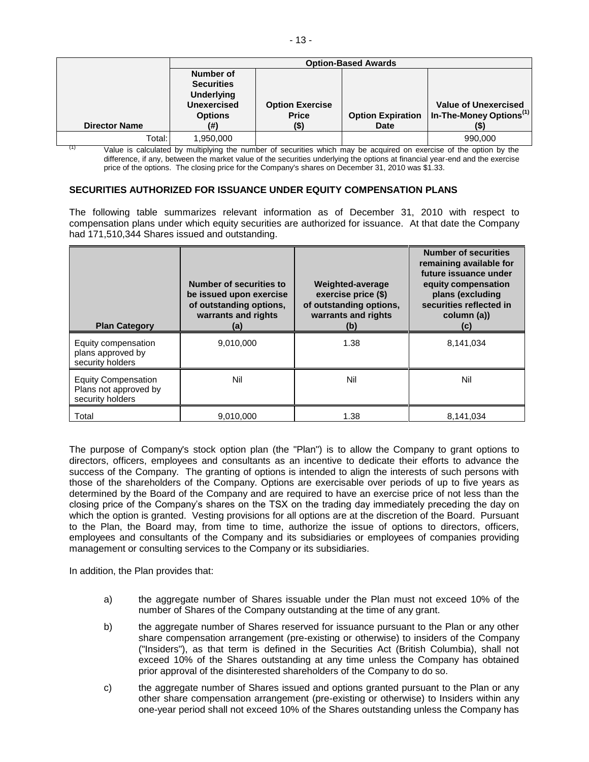|                      |                                                                                                           | <b>Option-Based Awards</b>                     |                                         |                                                                            |  |  |  |
|----------------------|-----------------------------------------------------------------------------------------------------------|------------------------------------------------|-----------------------------------------|----------------------------------------------------------------------------|--|--|--|
| <b>Director Name</b> | <b>Number of</b><br><b>Securities</b><br><b>Underlying</b><br><b>Unexercised</b><br><b>Options</b><br>(#) | <b>Option Exercise</b><br><b>Price</b><br>(\$) | <b>Option Expiration</b><br><b>Date</b> | <b>Value of Unexercised</b><br>In-The-Money Options <sup>(1)</sup><br>(\$) |  |  |  |
|                      |                                                                                                           |                                                |                                         |                                                                            |  |  |  |
| Total: I             | 1,950,000                                                                                                 |                                                |                                         | 990.000                                                                    |  |  |  |

Value is calculated by multiplying the number of securities which may be acquired on exercise of the option by the difference, if any, between the market value of the securities underlying the options at financial year-end and the exercise price of the options. The closing price for the Company's shares on December 31, 2010 was \$1.33.

#### **SECURITIES AUTHORIZED FOR ISSUANCE UNDER EQUITY COMPENSATION PLANS**

The following table summarizes relevant information as of December 31, 2010 with respect to compensation plans under which equity securities are authorized for issuance. At that date the Company had 171,510,344 Shares issued and outstanding.

| <b>Plan Category</b>                                                    | Number of securities to<br>be issued upon exercise<br>of outstanding options,<br>warrants and rights<br>(a) | Weighted-average<br>exercise price (\$)<br>of outstanding options,<br>warrants and rights<br>(b) | <b>Number of securities</b><br>remaining available for<br>future issuance under<br>equity compensation<br>plans (excluding<br>securities reflected in<br>column (a))<br>(c) |
|-------------------------------------------------------------------------|-------------------------------------------------------------------------------------------------------------|--------------------------------------------------------------------------------------------------|-----------------------------------------------------------------------------------------------------------------------------------------------------------------------------|
| Equity compensation<br>plans approved by<br>security holders            | 9,010,000                                                                                                   | 1.38                                                                                             | 8,141,034                                                                                                                                                                   |
| <b>Equity Compensation</b><br>Plans not approved by<br>security holders | Nil                                                                                                         | Nil                                                                                              | Nil                                                                                                                                                                         |
| Total                                                                   | 9,010,000                                                                                                   | 1.38                                                                                             | 8,141,034                                                                                                                                                                   |

The purpose of Company's stock option plan (the "Plan") is to allow the Company to grant options to directors, officers, employees and consultants as an incentive to dedicate their efforts to advance the success of the Company. The granting of options is intended to align the interests of such persons with those of the shareholders of the Company. Options are exercisable over periods of up to five years as determined by the Board of the Company and are required to have an exercise price of not less than the closing price of the Company"s shares on the TSX on the trading day immediately preceding the day on which the option is granted. Vesting provisions for all options are at the discretion of the Board. Pursuant to the Plan, the Board may, from time to time, authorize the issue of options to directors, officers, employees and consultants of the Company and its subsidiaries or employees of companies providing management or consulting services to the Company or its subsidiaries.

In addition, the Plan provides that:

- a) the aggregate number of Shares issuable under the Plan must not exceed 10% of the number of Shares of the Company outstanding at the time of any grant.
- b) the aggregate number of Shares reserved for issuance pursuant to the Plan or any other share compensation arrangement (pre-existing or otherwise) to insiders of the Company ("Insiders"), as that term is defined in the Securities Act (British Columbia), shall not exceed 10% of the Shares outstanding at any time unless the Company has obtained prior approval of the disinterested shareholders of the Company to do so.
- c) the aggregate number of Shares issued and options granted pursuant to the Plan or any other share compensation arrangement (pre-existing or otherwise) to Insiders within any one-year period shall not exceed 10% of the Shares outstanding unless the Company has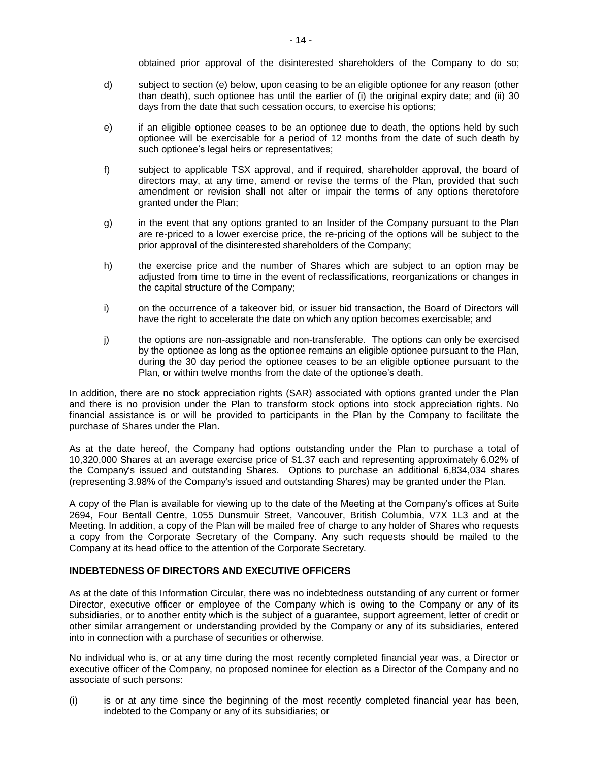obtained prior approval of the disinterested shareholders of the Company to do so;

- d) subject to section (e) below, upon ceasing to be an eligible optionee for any reason (other than death), such optionee has until the earlier of (i) the original expiry date; and (ii) 30 days from the date that such cessation occurs, to exercise his options;
- e) if an eligible optionee ceases to be an optionee due to death, the options held by such optionee will be exercisable for a period of 12 months from the date of such death by such optionee's legal heirs or representatives;
- f) subject to applicable TSX approval, and if required, shareholder approval, the board of directors may, at any time, amend or revise the terms of the Plan, provided that such amendment or revision shall not alter or impair the terms of any options theretofore granted under the Plan;
- g) in the event that any options granted to an Insider of the Company pursuant to the Plan are re-priced to a lower exercise price, the re-pricing of the options will be subject to the prior approval of the disinterested shareholders of the Company;
- h) the exercise price and the number of Shares which are subject to an option may be adjusted from time to time in the event of reclassifications, reorganizations or changes in the capital structure of the Company;
- i) on the occurrence of a takeover bid, or issuer bid transaction, the Board of Directors will have the right to accelerate the date on which any option becomes exercisable; and
- j) the options are non-assignable and non-transferable. The options can only be exercised by the optionee as long as the optionee remains an eligible optionee pursuant to the Plan, during the 30 day period the optionee ceases to be an eligible optionee pursuant to the Plan, or within twelve months from the date of the optionee's death.

In addition, there are no stock appreciation rights (SAR) associated with options granted under the Plan and there is no provision under the Plan to transform stock options into stock appreciation rights. No financial assistance is or will be provided to participants in the Plan by the Company to facilitate the purchase of Shares under the Plan.

As at the date hereof, the Company had options outstanding under the Plan to purchase a total of 10,320,000 Shares at an average exercise price of \$1.37 each and representing approximately 6.02% of the Company's issued and outstanding Shares. Options to purchase an additional 6,834,034 shares (representing 3.98% of the Company's issued and outstanding Shares) may be granted under the Plan.

A copy of the Plan is available for viewing up to the date of the Meeting at the Company"s offices at Suite 2694, Four Bentall Centre, 1055 Dunsmuir Street, Vancouver, British Columbia, V7X 1L3 and at the Meeting. In addition, a copy of the Plan will be mailed free of charge to any holder of Shares who requests a copy from the Corporate Secretary of the Company. Any such requests should be mailed to the Company at its head office to the attention of the Corporate Secretary.

### **INDEBTEDNESS OF DIRECTORS AND EXECUTIVE OFFICERS**

As at the date of this Information Circular, there was no indebtedness outstanding of any current or former Director, executive officer or employee of the Company which is owing to the Company or any of its subsidiaries, or to another entity which is the subject of a guarantee, support agreement, letter of credit or other similar arrangement or understanding provided by the Company or any of its subsidiaries, entered into in connection with a purchase of securities or otherwise.

No individual who is, or at any time during the most recently completed financial year was, a Director or executive officer of the Company, no proposed nominee for election as a Director of the Company and no associate of such persons:

(i) is or at any time since the beginning of the most recently completed financial year has been, indebted to the Company or any of its subsidiaries; or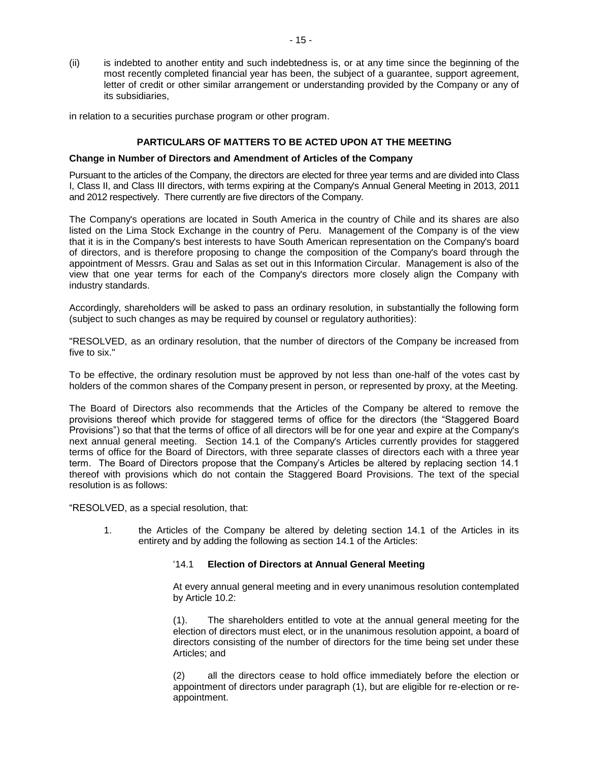(ii) is indebted to another entity and such indebtedness is, or at any time since the beginning of the most recently completed financial year has been, the subject of a guarantee, support agreement, letter of credit or other similar arrangement or understanding provided by the Company or any of its subsidiaries,

in relation to a securities purchase program or other program.

#### **PARTICULARS OF MATTERS TO BE ACTED UPON AT THE MEETING**

#### **Change in Number of Directors and Amendment of Articles of the Company**

Pursuant to the articles of the Company, the directors are elected for three year terms and are divided into Class I, Class II, and Class III directors, with terms expiring at the Company's Annual General Meeting in 2013, 2011 and 2012 respectively. There currently are five directors of the Company.

The Company's operations are located in South America in the country of Chile and its shares are also listed on the Lima Stock Exchange in the country of Peru. Management of the Company is of the view that it is in the Company's best interests to have South American representation on the Company's board of directors, and is therefore proposing to change the composition of the Company's board through the appointment of Messrs. Grau and Salas as set out in this Information Circular. Management is also of the view that one year terms for each of the Company's directors more closely align the Company with industry standards.

Accordingly, shareholders will be asked to pass an ordinary resolution, in substantially the following form (subject to such changes as may be required by counsel or regulatory authorities):

"RESOLVED, as an ordinary resolution, that the number of directors of the Company be increased from five to six."

To be effective, the ordinary resolution must be approved by not less than one-half of the votes cast by holders of the common shares of the Company present in person, or represented by proxy, at the Meeting.

The Board of Directors also recommends that the Articles of the Company be altered to remove the provisions thereof which provide for staggered terms of office for the directors (the "Staggered Board Provisions") so that that the terms of office of all directors will be for one year and expire at the Company's next annual general meeting. Section 14.1 of the Company's Articles currently provides for staggered terms of office for the Board of Directors, with three separate classes of directors each with a three year term. The Board of Directors propose that the Company"s Articles be altered by replacing section 14.1 thereof with provisions which do not contain the Staggered Board Provisions. The text of the special resolution is as follows:

"RESOLVED, as a special resolution, that:

1. the Articles of the Company be altered by deleting section 14.1 of the Articles in its entirety and by adding the following as section 14.1 of the Articles:

#### "14.1 **Election of Directors at Annual General Meeting**

At every annual general meeting and in every unanimous resolution contemplated by Article 10.2:

(1). The shareholders entitled to vote at the annual general meeting for the election of directors must elect, or in the unanimous resolution appoint, a board of directors consisting of the number of directors for the time being set under these Articles; and

(2) all the directors cease to hold office immediately before the election or appointment of directors under paragraph (1), but are eligible for re-election or reappointment.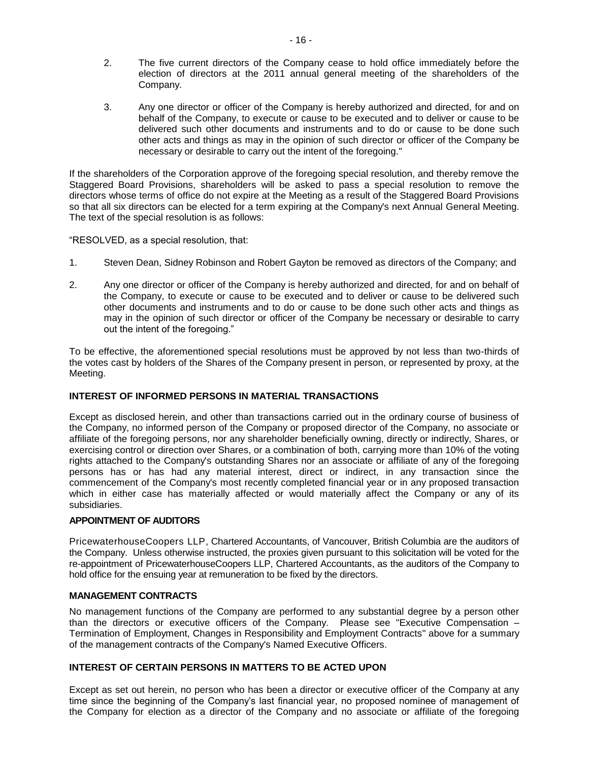- 2. The five current directors of the Company cease to hold office immediately before the election of directors at the 2011 annual general meeting of the shareholders of the Company.
- 3. Any one director or officer of the Company is hereby authorized and directed, for and on behalf of the Company, to execute or cause to be executed and to deliver or cause to be delivered such other documents and instruments and to do or cause to be done such other acts and things as may in the opinion of such director or officer of the Company be necessary or desirable to carry out the intent of the foregoing."

If the shareholders of the Corporation approve of the foregoing special resolution, and thereby remove the Staggered Board Provisions, shareholders will be asked to pass a special resolution to remove the directors whose terms of office do not expire at the Meeting as a result of the Staggered Board Provisions so that all six directors can be elected for a term expiring at the Company's next Annual General Meeting. The text of the special resolution is as follows:

"RESOLVED, as a special resolution, that:

- 1. Steven Dean, Sidney Robinson and Robert Gayton be removed as directors of the Company; and
- 2. Any one director or officer of the Company is hereby authorized and directed, for and on behalf of the Company, to execute or cause to be executed and to deliver or cause to be delivered such other documents and instruments and to do or cause to be done such other acts and things as may in the opinion of such director or officer of the Company be necessary or desirable to carry out the intent of the foregoing."

To be effective, the aforementioned special resolutions must be approved by not less than two-thirds of the votes cast by holders of the Shares of the Company present in person, or represented by proxy, at the Meeting.

#### **INTEREST OF INFORMED PERSONS IN MATERIAL TRANSACTIONS**

Except as disclosed herein, and other than transactions carried out in the ordinary course of business of the Company, no informed person of the Company or proposed director of the Company, no associate or affiliate of the foregoing persons, nor any shareholder beneficially owning, directly or indirectly, Shares, or exercising control or direction over Shares, or a combination of both, carrying more than 10% of the voting rights attached to the Company's outstanding Shares nor an associate or affiliate of any of the foregoing persons has or has had any material interest, direct or indirect, in any transaction since the commencement of the Company's most recently completed financial year or in any proposed transaction which in either case has materially affected or would materially affect the Company or any of its subsidiaries.

#### **APPOINTMENT OF AUDITORS**

PricewaterhouseCoopers LLP, Chartered Accountants, of Vancouver, British Columbia are the auditors of the Company. Unless otherwise instructed, the proxies given pursuant to this solicitation will be voted for the re-appointment of PricewaterhouseCoopers LLP, Chartered Accountants, as the auditors of the Company to hold office for the ensuing year at remuneration to be fixed by the directors.

#### **MANAGEMENT CONTRACTS**

No management functions of the Company are performed to any substantial degree by a person other than the directors or executive officers of the Company. Please see "Executive Compensation – Termination of Employment, Changes in Responsibility and Employment Contracts" above for a summary of the management contracts of the Company's Named Executive Officers.

### **INTEREST OF CERTAIN PERSONS IN MATTERS TO BE ACTED UPON**

Except as set out herein, no person who has been a director or executive officer of the Company at any time since the beginning of the Company"s last financial year, no proposed nominee of management of the Company for election as a director of the Company and no associate or affiliate of the foregoing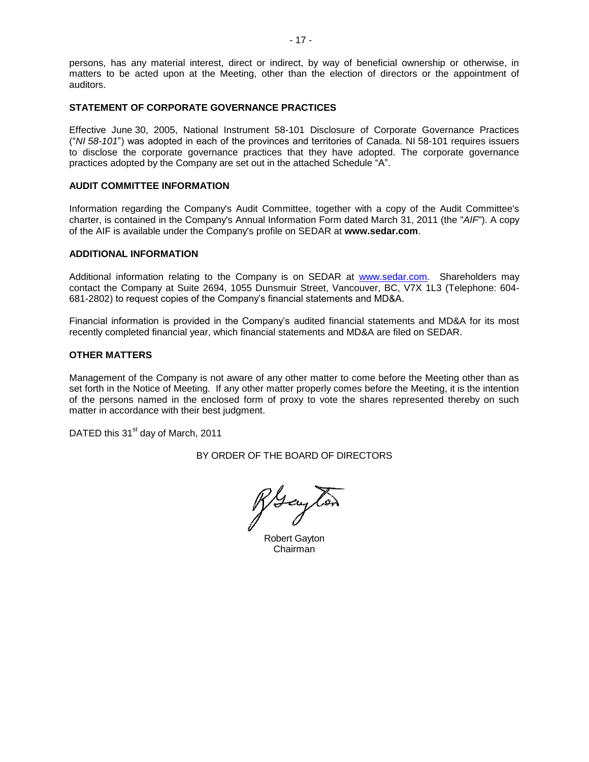persons, has any material interest, direct or indirect, by way of beneficial ownership or otherwise, in matters to be acted upon at the Meeting, other than the election of directors or the appointment of auditors.

#### **STATEMENT OF CORPORATE GOVERNANCE PRACTICES**

Effective June 30, 2005, National Instrument 58-101 Disclosure of Corporate Governance Practices ("*NI 58-101*") was adopted in each of the provinces and territories of Canada. NI 58-101 requires issuers to disclose the corporate governance practices that they have adopted. The corporate governance practices adopted by the Company are set out in the attached Schedule "A".

#### **AUDIT COMMITTEE INFORMATION**

Information regarding the Company's Audit Committee, together with a copy of the Audit Committee's charter, is contained in the Company's Annual Information Form dated March 31, 2011 (the "*AIF*"). A copy of the AIF is available under the Company's profile on SEDAR at **www.sedar.com**.

#### **ADDITIONAL INFORMATION**

Additional information relating to the Company is on SEDAR at [www.sedar.com.](http://www.sedar.com/) Shareholders may contact the Company at Suite 2694, 1055 Dunsmuir Street, Vancouver, BC, V7X 1L3 (Telephone: 604- 681-2802) to request copies of the Company"s financial statements and MD&A.

Financial information is provided in the Company"s audited financial statements and MD&A for its most recently completed financial year, which financial statements and MD&A are filed on SEDAR.

#### **OTHER MATTERS**

Management of the Company is not aware of any other matter to come before the Meeting other than as set forth in the Notice of Meeting. If any other matter properly comes before the Meeting, it is the intention of the persons named in the enclosed form of proxy to vote the shares represented thereby on such matter in accordance with their best judgment.

DATED this 31<sup>st</sup> day of March, 2011

BY ORDER OF THE BOARD OF DIRECTORS

Hough

Robert Gayton Chairman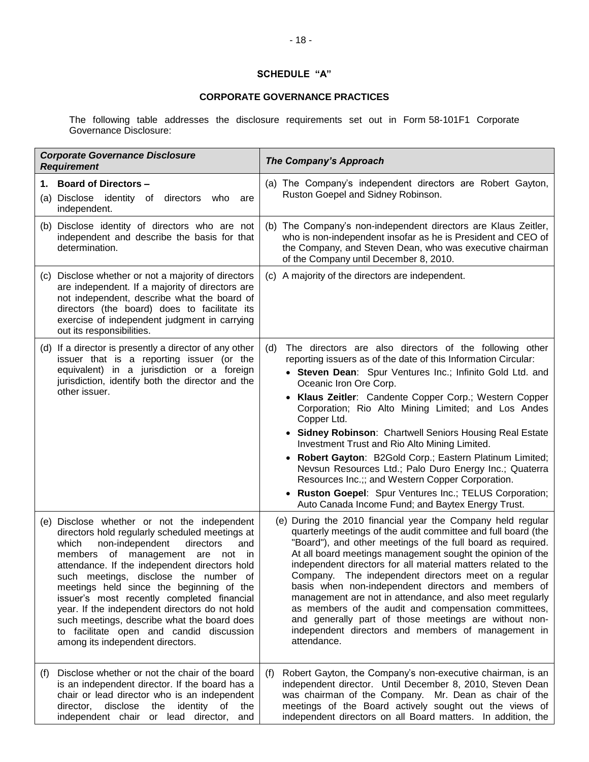## **SCHEDULE "A"**

## **CORPORATE GOVERNANCE PRACTICES**

The following table addresses the disclosure requirements set out in Form 58-101F1 Corporate Governance Disclosure:

| <b>Corporate Governance Disclosure</b><br><b>Requirement</b>                                                                                                                                                                                                                                                                                                                                                                                                                                                                                           | <b>The Company's Approach</b>                                                                                                                                                                                                                                                                                                                                                                                                                                                                                                                                                                                                                                                                                                                                  |
|--------------------------------------------------------------------------------------------------------------------------------------------------------------------------------------------------------------------------------------------------------------------------------------------------------------------------------------------------------------------------------------------------------------------------------------------------------------------------------------------------------------------------------------------------------|----------------------------------------------------------------------------------------------------------------------------------------------------------------------------------------------------------------------------------------------------------------------------------------------------------------------------------------------------------------------------------------------------------------------------------------------------------------------------------------------------------------------------------------------------------------------------------------------------------------------------------------------------------------------------------------------------------------------------------------------------------------|
| 1. Board of Directors -<br>(a) Disclose identity of directors<br>who<br>are<br>independent.                                                                                                                                                                                                                                                                                                                                                                                                                                                            | (a) The Company's independent directors are Robert Gayton,<br>Ruston Goepel and Sidney Robinson.                                                                                                                                                                                                                                                                                                                                                                                                                                                                                                                                                                                                                                                               |
| (b) Disclose identity of directors who are not<br>independent and describe the basis for that<br>determination.                                                                                                                                                                                                                                                                                                                                                                                                                                        | (b) The Company's non-independent directors are Klaus Zeitler,<br>who is non-independent insofar as he is President and CEO of<br>the Company, and Steven Dean, who was executive chairman<br>of the Company until December 8, 2010.                                                                                                                                                                                                                                                                                                                                                                                                                                                                                                                           |
| (c) Disclose whether or not a majority of directors<br>are independent. If a majority of directors are<br>not independent, describe what the board of<br>directors (the board) does to facilitate its<br>exercise of independent judgment in carrying<br>out its responsibilities.                                                                                                                                                                                                                                                                     | (c) A majority of the directors are independent.                                                                                                                                                                                                                                                                                                                                                                                                                                                                                                                                                                                                                                                                                                               |
| (d) If a director is presently a director of any other<br>issuer that is a reporting issuer (or the<br>equivalent) in a jurisdiction or a foreign<br>jurisdiction, identify both the director and the<br>other issuer.                                                                                                                                                                                                                                                                                                                                 | The directors are also directors of the following other<br>(d)<br>reporting issuers as of the date of this Information Circular:<br>• Steven Dean: Spur Ventures Inc.; Infinito Gold Ltd. and<br>Oceanic Iron Ore Corp.<br>• Klaus Zeitler: Candente Copper Corp.; Western Copper<br>Corporation; Rio Alto Mining Limited; and Los Andes<br>Copper Ltd.<br>• Sidney Robinson: Chartwell Seniors Housing Real Estate<br>Investment Trust and Rio Alto Mining Limited.<br>• Robert Gayton: B2Gold Corp.; Eastern Platinum Limited;<br>Nevsun Resources Ltd.; Palo Duro Energy Inc.; Quaterra<br>Resources Inc.;; and Western Copper Corporation.<br>• Ruston Goepel: Spur Ventures Inc.; TELUS Corporation;<br>Auto Canada Income Fund; and Baytex Energy Trust. |
| (e) Disclose whether or not the independent<br>directors hold regularly scheduled meetings at<br>which<br>non-independent<br>directors<br>and<br>members of management are not in<br>attendance. If the independent directors hold<br>such meetings, disclose the number of<br>meetings held since the beginning of the<br>issuer's most recently completed financial<br>year. If the independent directors do not hold<br>such meetings, describe what the board does<br>to facilitate open and candid discussion<br>among its independent directors. | (e) During the 2010 financial year the Company held regular<br>quarterly meetings of the audit committee and full board (the<br>"Board"), and other meetings of the full board as required.<br>At all board meetings management sought the opinion of the<br>independent directors for all material matters related to the<br>Company. The independent directors meet on a regular<br>basis when non-independent directors and members of<br>management are not in attendance, and also meet regularly<br>as members of the audit and compensation committees,<br>and generally part of those meetings are without non-<br>independent directors and members of management in<br>attendance.                                                                   |
| Disclose whether or not the chair of the board<br>(f)<br>is an independent director. If the board has a<br>chair or lead director who is an independent<br>director, disclose the identity of<br>the<br>independent chair or lead director, and                                                                                                                                                                                                                                                                                                        | Robert Gayton, the Company's non-executive chairman, is an<br>(f)<br>independent director. Until December 8, 2010, Steven Dean<br>was chairman of the Company. Mr. Dean as chair of the<br>meetings of the Board actively sought out the views of<br>independent directors on all Board matters. In addition, the                                                                                                                                                                                                                                                                                                                                                                                                                                              |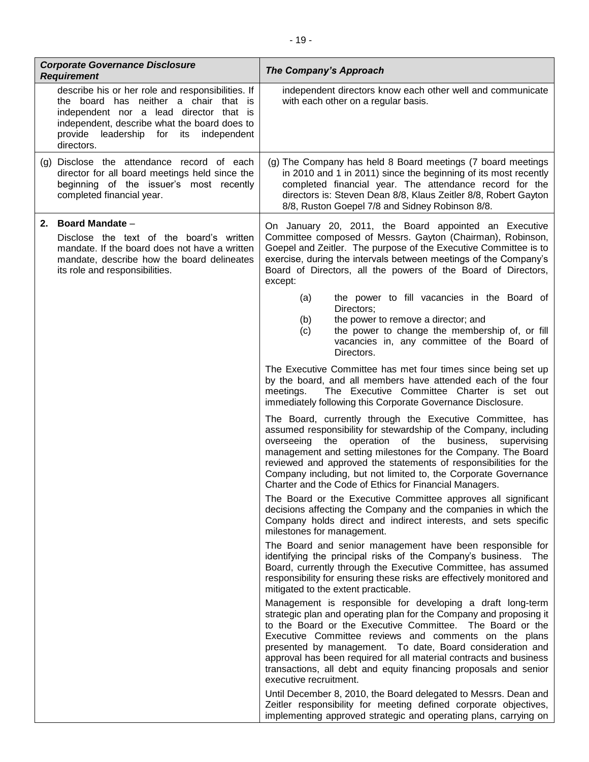| <b>Corporate Governance Disclosure</b><br><b>Requirement</b>                                                                                                                                                                                     | <b>The Company's Approach</b>                                                                                                                                                                                                                                                                                                                                                                                                                                                           |
|--------------------------------------------------------------------------------------------------------------------------------------------------------------------------------------------------------------------------------------------------|-----------------------------------------------------------------------------------------------------------------------------------------------------------------------------------------------------------------------------------------------------------------------------------------------------------------------------------------------------------------------------------------------------------------------------------------------------------------------------------------|
| describe his or her role and responsibilities. If<br>the board has neither a chair that is<br>independent nor a lead director that is<br>independent, describe what the board does to<br>provide leadership for its<br>independent<br>directors. | independent directors know each other well and communicate<br>with each other on a regular basis.                                                                                                                                                                                                                                                                                                                                                                                       |
| (g) Disclose the attendance record of each<br>director for all board meetings held since the<br>beginning of the issuer's most recently<br>completed financial year.                                                                             | (g) The Company has held 8 Board meetings (7 board meetings<br>in 2010 and 1 in 2011) since the beginning of its most recently<br>completed financial year. The attendance record for the<br>directors is: Steven Dean 8/8, Klaus Zeitler 8/8, Robert Gayton<br>8/8, Ruston Goepel 7/8 and Sidney Robinson 8/8.                                                                                                                                                                         |
| 2. Board Mandate -<br>Disclose the text of the board's written<br>mandate. If the board does not have a written<br>mandate, describe how the board delineates<br>its role and responsibilities.                                                  | On January 20, 2011, the Board appointed an Executive<br>Committee composed of Messrs. Gayton (Chairman), Robinson,<br>Goepel and Zeitler. The purpose of the Executive Committee is to<br>exercise, during the intervals between meetings of the Company's<br>Board of Directors, all the powers of the Board of Directors,<br>except:                                                                                                                                                 |
|                                                                                                                                                                                                                                                  | the power to fill vacancies in the Board of<br>(a)<br>Directors;<br>the power to remove a director; and<br>(b)<br>the power to change the membership of, or fill<br>(c)<br>vacancies in, any committee of the Board of<br>Directors.                                                                                                                                                                                                                                                    |
|                                                                                                                                                                                                                                                  | The Executive Committee has met four times since being set up<br>by the board, and all members have attended each of the four<br>The Executive Committee Charter is set out<br>meetings.<br>immediately following this Corporate Governance Disclosure.                                                                                                                                                                                                                                 |
|                                                                                                                                                                                                                                                  | The Board, currently through the Executive Committee, has<br>assumed responsibility for stewardship of the Company, including<br>operation<br>of the<br>business,<br>overseeing<br>the<br>supervising<br>management and setting milestones for the Company. The Board<br>reviewed and approved the statements of responsibilities for the<br>Company including, but not limited to, the Corporate Governance<br>Charter and the Code of Ethics for Financial Managers.                  |
|                                                                                                                                                                                                                                                  | The Board or the Executive Committee approves all significant<br>decisions affecting the Company and the companies in which the<br>Company holds direct and indirect interests, and sets specific<br>milestones for management.                                                                                                                                                                                                                                                         |
|                                                                                                                                                                                                                                                  | The Board and senior management have been responsible for<br>identifying the principal risks of the Company's business. The<br>Board, currently through the Executive Committee, has assumed<br>responsibility for ensuring these risks are effectively monitored and<br>mitigated to the extent practicable.                                                                                                                                                                           |
|                                                                                                                                                                                                                                                  | Management is responsible for developing a draft long-term<br>strategic plan and operating plan for the Company and proposing it<br>to the Board or the Executive Committee. The Board or the<br>Executive Committee reviews and comments on the plans<br>presented by management. To date, Board consideration and<br>approval has been required for all material contracts and business<br>transactions, all debt and equity financing proposals and senior<br>executive recruitment. |
|                                                                                                                                                                                                                                                  | Until December 8, 2010, the Board delegated to Messrs. Dean and<br>Zeitler responsibility for meeting defined corporate objectives,<br>implementing approved strategic and operating plans, carrying on                                                                                                                                                                                                                                                                                 |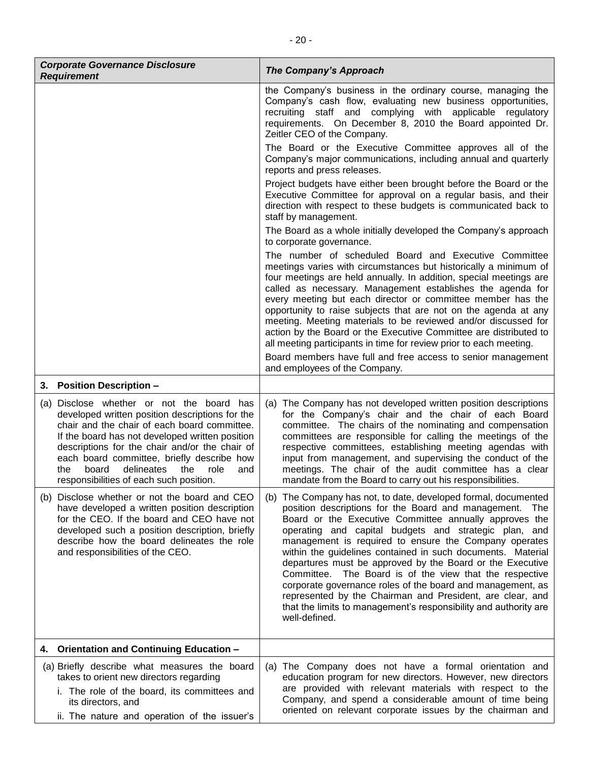| <b>Corporate Governance Disclosure</b><br><b>Requirement</b>                                                                                                                                                                                                                                                                                                                                   | <b>The Company's Approach</b>                                                                                                                                                                                                                                                                                                                                                                                                                                                                                                                                                                                                                                                                                   |
|------------------------------------------------------------------------------------------------------------------------------------------------------------------------------------------------------------------------------------------------------------------------------------------------------------------------------------------------------------------------------------------------|-----------------------------------------------------------------------------------------------------------------------------------------------------------------------------------------------------------------------------------------------------------------------------------------------------------------------------------------------------------------------------------------------------------------------------------------------------------------------------------------------------------------------------------------------------------------------------------------------------------------------------------------------------------------------------------------------------------------|
|                                                                                                                                                                                                                                                                                                                                                                                                | the Company's business in the ordinary course, managing the<br>Company's cash flow, evaluating new business opportunities,<br>recruiting staff and complying with applicable regulatory<br>requirements. On December 8, 2010 the Board appointed Dr.<br>Zeitler CEO of the Company.                                                                                                                                                                                                                                                                                                                                                                                                                             |
|                                                                                                                                                                                                                                                                                                                                                                                                | The Board or the Executive Committee approves all of the<br>Company's major communications, including annual and quarterly<br>reports and press releases.                                                                                                                                                                                                                                                                                                                                                                                                                                                                                                                                                       |
|                                                                                                                                                                                                                                                                                                                                                                                                | Project budgets have either been brought before the Board or the<br>Executive Committee for approval on a regular basis, and their<br>direction with respect to these budgets is communicated back to<br>staff by management.                                                                                                                                                                                                                                                                                                                                                                                                                                                                                   |
|                                                                                                                                                                                                                                                                                                                                                                                                | The Board as a whole initially developed the Company's approach<br>to corporate governance.                                                                                                                                                                                                                                                                                                                                                                                                                                                                                                                                                                                                                     |
|                                                                                                                                                                                                                                                                                                                                                                                                | The number of scheduled Board and Executive Committee<br>meetings varies with circumstances but historically a minimum of<br>four meetings are held annually. In addition, special meetings are<br>called as necessary. Management establishes the agenda for<br>every meeting but each director or committee member has the<br>opportunity to raise subjects that are not on the agenda at any<br>meeting. Meeting materials to be reviewed and/or discussed for<br>action by the Board or the Executive Committee are distributed to<br>all meeting participants in time for review prior to each meeting.<br>Board members have full and free access to senior management                                    |
| 3. Position Description -                                                                                                                                                                                                                                                                                                                                                                      | and employees of the Company.                                                                                                                                                                                                                                                                                                                                                                                                                                                                                                                                                                                                                                                                                   |
| (a) Disclose whether or not the board has<br>developed written position descriptions for the<br>chair and the chair of each board committee.<br>If the board has not developed written position<br>descriptions for the chair and/or the chair of<br>each board committee, briefly describe how<br>board<br>delineates<br>the<br>role<br>the<br>and<br>responsibilities of each such position. | (a) The Company has not developed written position descriptions<br>for the Company's chair and the chair of each Board<br>committee. The chairs of the nominating and compensation<br>committees are responsible for calling the meetings of the<br>respective committees, establishing meeting agendas with<br>input from management, and supervising the conduct of the<br>meetings. The chair of the audit committee has a clear<br>mandate from the Board to carry out his responsibilities.                                                                                                                                                                                                                |
| (b) Disclose whether or not the board and CEO<br>have developed a written position description<br>for the CEO. If the board and CEO have not<br>developed such a position description, briefly<br>describe how the board delineates the role<br>and responsibilities of the CEO.                                                                                                               | The Company has not, to date, developed formal, documented<br>(b)<br>position descriptions for the Board and management. The<br>Board or the Executive Committee annually approves the<br>operating and capital budgets and strategic plan, and<br>management is required to ensure the Company operates<br>within the guidelines contained in such documents. Material<br>departures must be approved by the Board or the Executive<br>Committee. The Board is of the view that the respective<br>corporate governance roles of the board and management, as<br>represented by the Chairman and President, are clear, and<br>that the limits to management's responsibility and authority are<br>well-defined. |
| 4. Orientation and Continuing Education -                                                                                                                                                                                                                                                                                                                                                      |                                                                                                                                                                                                                                                                                                                                                                                                                                                                                                                                                                                                                                                                                                                 |
| (a) Briefly describe what measures the board<br>takes to orient new directors regarding<br>i. The role of the board, its committees and<br>its directors, and<br>ii. The nature and operation of the issuer's                                                                                                                                                                                  | (a) The Company does not have a formal orientation and<br>education program for new directors. However, new directors<br>are provided with relevant materials with respect to the<br>Company, and spend a considerable amount of time being<br>oriented on relevant corporate issues by the chairman and                                                                                                                                                                                                                                                                                                                                                                                                        |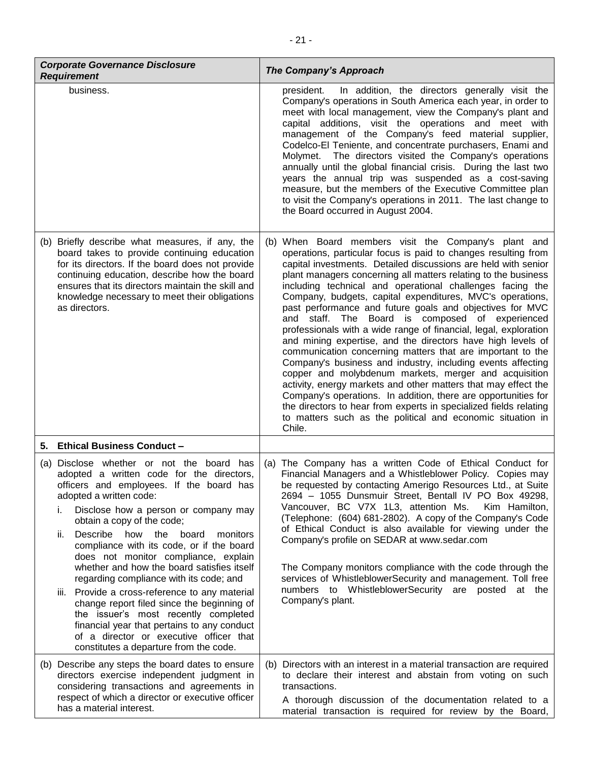| <b>Corporate Governance Disclosure</b><br><b>Requirement</b>                                                                                                                                                                                                                                                                                                                                                                                                                                                                                                                                                                                                                                                                                      | <b>The Company's Approach</b>                                                                                                                                                                                                                                                                                                                                                                                                                                                                                                                                                                                                                                                                                                                                                                                                                                                                                                                                                                                                                                                                                 |
|---------------------------------------------------------------------------------------------------------------------------------------------------------------------------------------------------------------------------------------------------------------------------------------------------------------------------------------------------------------------------------------------------------------------------------------------------------------------------------------------------------------------------------------------------------------------------------------------------------------------------------------------------------------------------------------------------------------------------------------------------|---------------------------------------------------------------------------------------------------------------------------------------------------------------------------------------------------------------------------------------------------------------------------------------------------------------------------------------------------------------------------------------------------------------------------------------------------------------------------------------------------------------------------------------------------------------------------------------------------------------------------------------------------------------------------------------------------------------------------------------------------------------------------------------------------------------------------------------------------------------------------------------------------------------------------------------------------------------------------------------------------------------------------------------------------------------------------------------------------------------|
| business.                                                                                                                                                                                                                                                                                                                                                                                                                                                                                                                                                                                                                                                                                                                                         | In addition, the directors generally visit the<br>president.<br>Company's operations in South America each year, in order to<br>meet with local management, view the Company's plant and<br>capital additions, visit the operations and meet with<br>management of the Company's feed material supplier,<br>Codelco-El Teniente, and concentrate purchasers, Enami and<br>Molymet. The directors visited the Company's operations<br>annually until the global financial crisis. During the last two<br>years the annual trip was suspended as a cost-saving<br>measure, but the members of the Executive Committee plan<br>to visit the Company's operations in 2011. The last change to<br>the Board occurred in August 2004.                                                                                                                                                                                                                                                                                                                                                                               |
| (b) Briefly describe what measures, if any, the<br>board takes to provide continuing education<br>for its directors. If the board does not provide<br>continuing education, describe how the board<br>ensures that its directors maintain the skill and<br>knowledge necessary to meet their obligations<br>as directors.                                                                                                                                                                                                                                                                                                                                                                                                                         | (b) When Board members visit the Company's plant and<br>operations, particular focus is paid to changes resulting from<br>capital investments. Detailed discussions are held with senior<br>plant managers concerning all matters relating to the business<br>including technical and operational challenges facing the<br>Company, budgets, capital expenditures, MVC's operations,<br>past performance and future goals and objectives for MVC<br>and staff. The Board is composed of experienced<br>professionals with a wide range of financial, legal, exploration<br>and mining expertise, and the directors have high levels of<br>communication concerning matters that are important to the<br>Company's business and industry, including events affecting<br>copper and molybdenum markets, merger and acquisition<br>activity, energy markets and other matters that may effect the<br>Company's operations. In addition, there are opportunities for<br>the directors to hear from experts in specialized fields relating<br>to matters such as the political and economic situation in<br>Chile. |
| 5. Ethical Business Conduct -                                                                                                                                                                                                                                                                                                                                                                                                                                                                                                                                                                                                                                                                                                                     |                                                                                                                                                                                                                                                                                                                                                                                                                                                                                                                                                                                                                                                                                                                                                                                                                                                                                                                                                                                                                                                                                                               |
| (a) Disclose whether or not the board has<br>adopted a written code for the directors,<br>officers and employees. If the board has<br>adopted a written code:<br>Disclose how a person or company may<br>i.<br>obtain a copy of the code;<br>Describe how the board<br>ii.<br>monitors<br>compliance with its code, or if the board<br>does not monitor compliance, explain<br>whether and how the board satisfies itself<br>regarding compliance with its code; and<br>Provide a cross-reference to any material<br>Ш.<br>change report filed since the beginning of<br>the issuer's most recently completed<br>financial year that pertains to any conduct<br>of a director or executive officer that<br>constitutes a departure from the code. | (a) The Company has a written Code of Ethical Conduct for<br>Financial Managers and a Whistleblower Policy. Copies may<br>be requested by contacting Amerigo Resources Ltd., at Suite<br>2694 - 1055 Dunsmuir Street, Bentall IV PO Box 49298,<br>Vancouver, BC V7X 1L3, attention Ms.<br>Kim Hamilton,<br>(Telephone: (604) 681-2802). A copy of the Company's Code<br>of Ethical Conduct is also available for viewing under the<br>Company's profile on SEDAR at www.sedar.com<br>The Company monitors compliance with the code through the<br>services of WhistleblowerSecurity and management. Toll free<br>numbers to WhistleblowerSecurity are posted at the<br>Company's plant.                                                                                                                                                                                                                                                                                                                                                                                                                       |
| (b) Describe any steps the board dates to ensure<br>directors exercise independent judgment in<br>considering transactions and agreements in<br>respect of which a director or executive officer<br>has a material interest.                                                                                                                                                                                                                                                                                                                                                                                                                                                                                                                      | Directors with an interest in a material transaction are required<br>(b)<br>to declare their interest and abstain from voting on such<br>transactions.<br>A thorough discussion of the documentation related to a<br>material transaction is required for review by the Board,                                                                                                                                                                                                                                                                                                                                                                                                                                                                                                                                                                                                                                                                                                                                                                                                                                |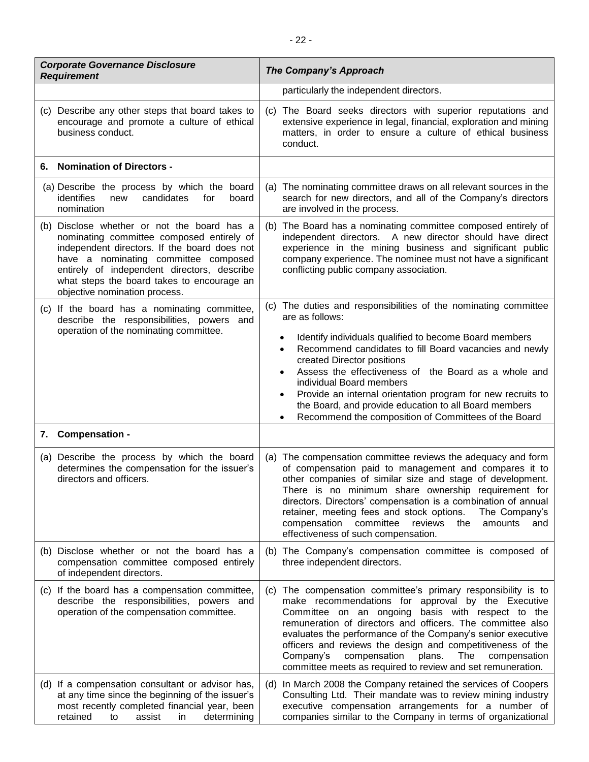| <b>Corporate Governance Disclosure</b><br><b>Requirement</b>                                                                                                                                                                                                                                                   | <b>The Company's Approach</b>                                                                                                                                                                                                                                                                                                                                                                                                                                                                                                                                |
|----------------------------------------------------------------------------------------------------------------------------------------------------------------------------------------------------------------------------------------------------------------------------------------------------------------|--------------------------------------------------------------------------------------------------------------------------------------------------------------------------------------------------------------------------------------------------------------------------------------------------------------------------------------------------------------------------------------------------------------------------------------------------------------------------------------------------------------------------------------------------------------|
|                                                                                                                                                                                                                                                                                                                | particularly the independent directors.                                                                                                                                                                                                                                                                                                                                                                                                                                                                                                                      |
| (c) Describe any other steps that board takes to<br>encourage and promote a culture of ethical<br>business conduct.                                                                                                                                                                                            | (c) The Board seeks directors with superior reputations and<br>extensive experience in legal, financial, exploration and mining<br>matters, in order to ensure a culture of ethical business<br>conduct.                                                                                                                                                                                                                                                                                                                                                     |
| <b>Nomination of Directors -</b><br>6.                                                                                                                                                                                                                                                                         |                                                                                                                                                                                                                                                                                                                                                                                                                                                                                                                                                              |
| (a) Describe the process by which the board<br>identifies<br>new<br>candidates<br>for<br>board<br>nomination                                                                                                                                                                                                   | (a) The nominating committee draws on all relevant sources in the<br>search for new directors, and all of the Company's directors<br>are involved in the process.                                                                                                                                                                                                                                                                                                                                                                                            |
| (b) Disclose whether or not the board has a<br>nominating committee composed entirely of<br>independent directors. If the board does not<br>have a nominating committee composed<br>entirely of independent directors, describe<br>what steps the board takes to encourage an<br>objective nomination process. | The Board has a nominating committee composed entirely of<br>(b)<br>independent directors. A new director should have direct<br>experience in the mining business and significant public<br>company experience. The nominee must not have a significant<br>conflicting public company association.                                                                                                                                                                                                                                                           |
| (c) If the board has a nominating committee,<br>describe the responsibilities, powers and<br>operation of the nominating committee.                                                                                                                                                                            | (c) The duties and responsibilities of the nominating committee<br>are as follows:<br>Identify individuals qualified to become Board members<br>$\bullet$<br>Recommend candidates to fill Board vacancies and newly<br>$\bullet$<br>created Director positions<br>Assess the effectiveness of the Board as a whole and<br>$\bullet$<br>individual Board members<br>Provide an internal orientation program for new recruits to<br>$\bullet$<br>the Board, and provide education to all Board members<br>Recommend the composition of Committees of the Board |
| 7. Compensation -                                                                                                                                                                                                                                                                                              |                                                                                                                                                                                                                                                                                                                                                                                                                                                                                                                                                              |
| (a) Describe the process by which the board<br>determines the compensation for the issuer's<br>directors and officers.                                                                                                                                                                                         | (a) The compensation committee reviews the adequacy and form<br>of compensation paid to management and compares it to<br>other companies of similar size and stage of development.<br>There is no minimum share ownership requirement for<br>directors. Directors' compensation is a combination of annual<br>retainer, meeting fees and stock options.<br>The Company's<br>compensation committee<br>reviews<br>amounts<br>the<br>and<br>effectiveness of such compensation.                                                                                |
| (b) Disclose whether or not the board has a<br>compensation committee composed entirely<br>of independent directors.                                                                                                                                                                                           | (b) The Company's compensation committee is composed of<br>three independent directors.                                                                                                                                                                                                                                                                                                                                                                                                                                                                      |
| (c) If the board has a compensation committee,<br>describe the responsibilities, powers and<br>operation of the compensation committee.                                                                                                                                                                        | (c) The compensation committee's primary responsibility is to<br>make recommendations for approval by the Executive<br>Committee on an ongoing basis with respect to the<br>remuneration of directors and officers. The committee also<br>evaluates the performance of the Company's senior executive<br>officers and reviews the design and competitiveness of the<br>Company's<br>compensation<br>plans.<br>The<br>compensation<br>committee meets as required to review and set remuneration.                                                             |
| (d) If a compensation consultant or advisor has,<br>at any time since the beginning of the issuer's<br>most recently completed financial year, been<br>retained<br>assist<br>determining<br>in<br>to                                                                                                           | In March 2008 the Company retained the services of Coopers<br>(d)<br>Consulting Ltd. Their mandate was to review mining industry<br>executive compensation arrangements for a number of<br>companies similar to the Company in terms of organizational                                                                                                                                                                                                                                                                                                       |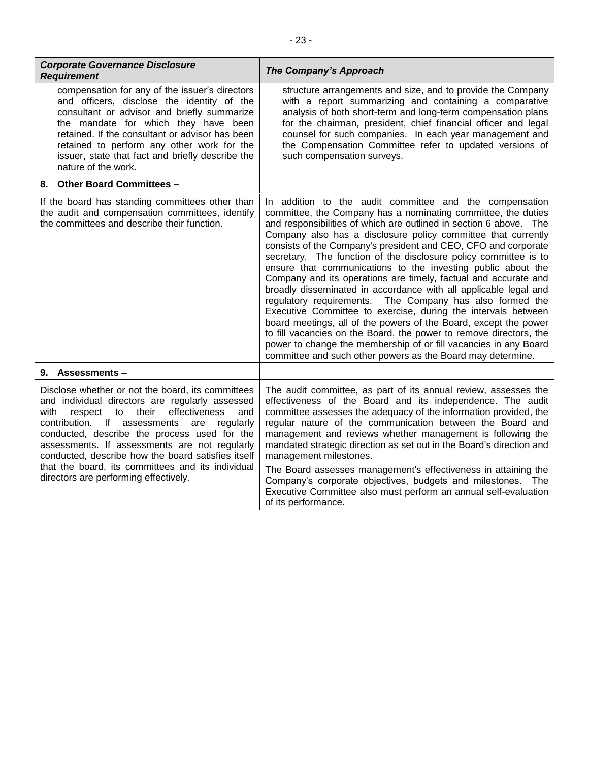| <b>Corporate Governance Disclosure</b><br><b>Requirement</b>                                                                                                                                                                                                                                                                                                                                                                                                         | <b>The Company's Approach</b>                                                                                                                                                                                                                                                                                                                                                                                                                                                                                                                                                                                                                                                                                                                                                                                                                                                                                                                                                                                             |
|----------------------------------------------------------------------------------------------------------------------------------------------------------------------------------------------------------------------------------------------------------------------------------------------------------------------------------------------------------------------------------------------------------------------------------------------------------------------|---------------------------------------------------------------------------------------------------------------------------------------------------------------------------------------------------------------------------------------------------------------------------------------------------------------------------------------------------------------------------------------------------------------------------------------------------------------------------------------------------------------------------------------------------------------------------------------------------------------------------------------------------------------------------------------------------------------------------------------------------------------------------------------------------------------------------------------------------------------------------------------------------------------------------------------------------------------------------------------------------------------------------|
| compensation for any of the issuer's directors<br>and officers, disclose the identity of the<br>consultant or advisor and briefly summarize<br>the mandate for which they have been<br>retained. If the consultant or advisor has been<br>retained to perform any other work for the<br>issuer, state that fact and briefly describe the<br>nature of the work.                                                                                                      | structure arrangements and size, and to provide the Company<br>with a report summarizing and containing a comparative<br>analysis of both short-term and long-term compensation plans<br>for the chairman, president, chief financial officer and legal<br>counsel for such companies. In each year management and<br>the Compensation Committee refer to updated versions of<br>such compensation surveys.                                                                                                                                                                                                                                                                                                                                                                                                                                                                                                                                                                                                               |
| 8. Other Board Committees -                                                                                                                                                                                                                                                                                                                                                                                                                                          |                                                                                                                                                                                                                                                                                                                                                                                                                                                                                                                                                                                                                                                                                                                                                                                                                                                                                                                                                                                                                           |
| If the board has standing committees other than<br>the audit and compensation committees, identify<br>the committees and describe their function.                                                                                                                                                                                                                                                                                                                    | In addition to the audit committee and the compensation<br>committee, the Company has a nominating committee, the duties<br>and responsibilities of which are outlined in section 6 above. The<br>Company also has a disclosure policy committee that currently<br>consists of the Company's president and CEO, CFO and corporate<br>secretary. The function of the disclosure policy committee is to<br>ensure that communications to the investing public about the<br>Company and its operations are timely, factual and accurate and<br>broadly disseminated in accordance with all applicable legal and<br>The Company has also formed the<br>regulatory requirements.<br>Executive Committee to exercise, during the intervals between<br>board meetings, all of the powers of the Board, except the power<br>to fill vacancies on the Board, the power to remove directors, the<br>power to change the membership of or fill vacancies in any Board<br>committee and such other powers as the Board may determine. |
| <b>Assessments-</b><br>9.                                                                                                                                                                                                                                                                                                                                                                                                                                            |                                                                                                                                                                                                                                                                                                                                                                                                                                                                                                                                                                                                                                                                                                                                                                                                                                                                                                                                                                                                                           |
| Disclose whether or not the board, its committees<br>and individual directors are regularly assessed<br>with<br>respect to<br>their<br>effectiveness<br>and<br>contribution. If assessments<br>regularly<br>are<br>conducted, describe the process used for the<br>assessments. If assessments are not regularly<br>conducted, describe how the board satisfies itself<br>that the board, its committees and its individual<br>directors are performing effectively. | The audit committee, as part of its annual review, assesses the<br>effectiveness of the Board and its independence. The audit<br>committee assesses the adequacy of the information provided, the<br>regular nature of the communication between the Board and<br>management and reviews whether management is following the<br>mandated strategic direction as set out in the Board's direction and<br>management milestones.<br>The Board assesses management's effectiveness in attaining the<br>Company's corporate objectives, budgets and milestones. The<br>Executive Committee also must perform an annual self-evaluation<br>of its performance.                                                                                                                                                                                                                                                                                                                                                                 |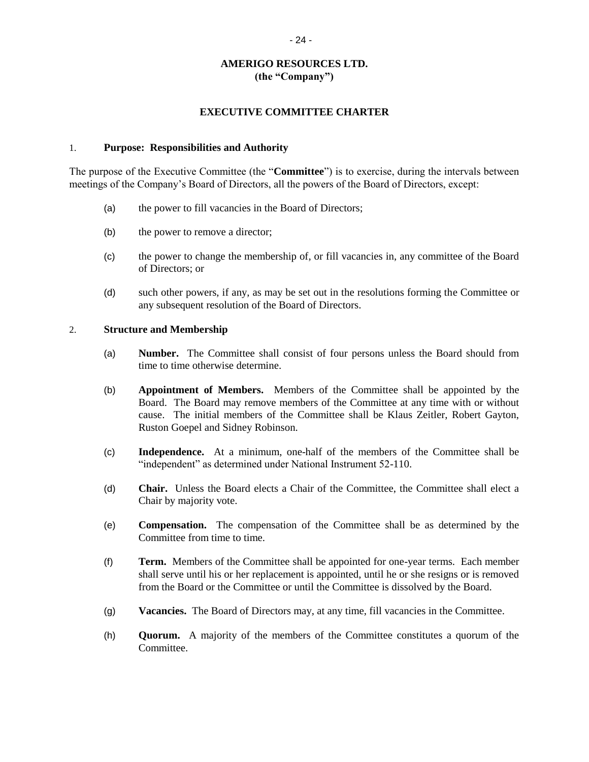## **AMERIGO RESOURCES LTD. (the "Company")**

#### **EXECUTIVE COMMITTEE CHARTER**

#### 1. **Purpose: Responsibilities and Authority**

The purpose of the Executive Committee (the "**Committee**") is to exercise, during the intervals between meetings of the Company's Board of Directors, all the powers of the Board of Directors, except:

- (a) the power to fill vacancies in the Board of Directors;
- (b) the power to remove a director;
- (c) the power to change the membership of, or fill vacancies in, any committee of the Board of Directors; or
- (d) such other powers, if any, as may be set out in the resolutions forming the Committee or any subsequent resolution of the Board of Directors.

#### 2. **Structure and Membership**

- (a) **Number.** The Committee shall consist of four persons unless the Board should from time to time otherwise determine.
- (b) **Appointment of Members.** Members of the Committee shall be appointed by the Board. The Board may remove members of the Committee at any time with or without cause. The initial members of the Committee shall be Klaus Zeitler, Robert Gayton, Ruston Goepel and Sidney Robinson.
- (c) **Independence.** At a minimum, one-half of the members of the Committee shall be "independent" as determined under National Instrument 52-110.
- (d) **Chair.** Unless the Board elects a Chair of the Committee, the Committee shall elect a Chair by majority vote.
- (e) **Compensation.** The compensation of the Committee shall be as determined by the Committee from time to time.
- (f) **Term.** Members of the Committee shall be appointed for one-year terms. Each member shall serve until his or her replacement is appointed, until he or she resigns or is removed from the Board or the Committee or until the Committee is dissolved by the Board.
- (g) **Vacancies.** The Board of Directors may, at any time, fill vacancies in the Committee.
- (h) **Quorum.** A majority of the members of the Committee constitutes a quorum of the Committee.